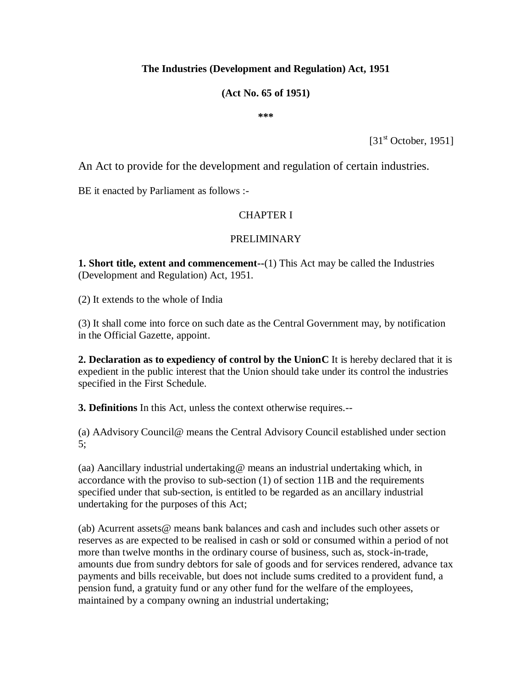#### **The Industries (Development and Regulation) Act, 1951**

#### **(Act No. 65 of 1951)**

**\*\*\***

 $[31<sup>st</sup> October, 1951]$ 

An Act to provide for the development and regulation of certain industries.

BE it enacted by Parliament as follows :-

#### CHAPTER I

#### PRELIMINARY

**1. Short title, extent and commencement--**(1) This Act may be called the Industries (Development and Regulation) Act, 1951.

(2) It extends to the whole of India

(3) It shall come into force on such date as the Central Government may, by notification in the Official Gazette, appoint.

**2. Declaration as to expediency of control by the UnionC** It is hereby declared that it is expedient in the public interest that the Union should take under its control the industries specified in the First Schedule.

**3. Definitions** In this Act, unless the context otherwise requires.--

(a) AAdvisory Council@ means the Central Advisory Council established under section 5;

(aa) Aancillary industrial undertaking@ means an industrial undertaking which, in accordance with the proviso to sub-section (1) of section 11B and the requirements specified under that sub-section, is entitled to be regarded as an ancillary industrial undertaking for the purposes of this Act;

(ab) Acurrent assets@ means bank balances and cash and includes such other assets or reserves as are expected to be realised in cash or sold or consumed within a period of not more than twelve months in the ordinary course of business, such as, stock-in-trade, amounts due from sundry debtors for sale of goods and for services rendered, advance tax payments and bills receivable, but does not include sums credited to a provident fund, a pension fund, a gratuity fund or any other fund for the welfare of the employees, maintained by a company owning an industrial undertaking;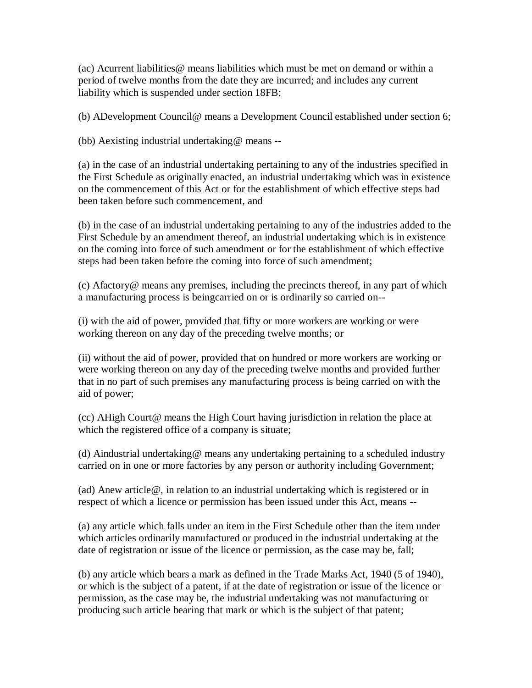(ac) Acurrent liabilities  $\omega$  means liabilities which must be met on demand or within a period of twelve months from the date they are incurred; and includes any current liability which is suspended under section 18FB;

(b) ADevelopment Council@ means a Development Council established under section 6;

(bb) Aexisting industrial undertaking@ means --

(a) in the case of an industrial undertaking pertaining to any of the industries specified in the First Schedule as originally enacted, an industrial undertaking which was in existence on the commencement of this Act or for the establishment of which effective steps had been taken before such commencement, and

(b) in the case of an industrial undertaking pertaining to any of the industries added to the First Schedule by an amendment thereof, an industrial undertaking which is in existence on the coming into force of such amendment or for the establishment of which effective steps had been taken before the coming into force of such amendment;

(c) Afactory@ means any premises, including the precincts thereof, in any part of which a manufacturing process is beingcarried on or is ordinarily so carried on--

(i) with the aid of power, provided that fifty or more workers are working or were working thereon on any day of the preceding twelve months; or

(ii) without the aid of power, provided that on hundred or more workers are working or were working thereon on any day of the preceding twelve months and provided further that in no part of such premises any manufacturing process is being carried on with the aid of power;

(cc) AHigh Court@ means the High Court having jurisdiction in relation the place at which the registered office of a company is situate;

(d) Aindustrial undertaking@ means any undertaking pertaining to a scheduled industry carried on in one or more factories by any person or authority including Government;

(ad) Anew article@, in relation to an industrial undertaking which is registered or in respect of which a licence or permission has been issued under this Act, means --

(a) any article which falls under an item in the First Schedule other than the item under which articles ordinarily manufactured or produced in the industrial undertaking at the date of registration or issue of the licence or permission, as the case may be, fall;

(b) any article which bears a mark as defined in the Trade Marks Act, 1940 (5 of 1940), or which is the subject of a patent, if at the date of registration or issue of the licence or permission, as the case may be, the industrial undertaking was not manufacturing or producing such article bearing that mark or which is the subject of that patent;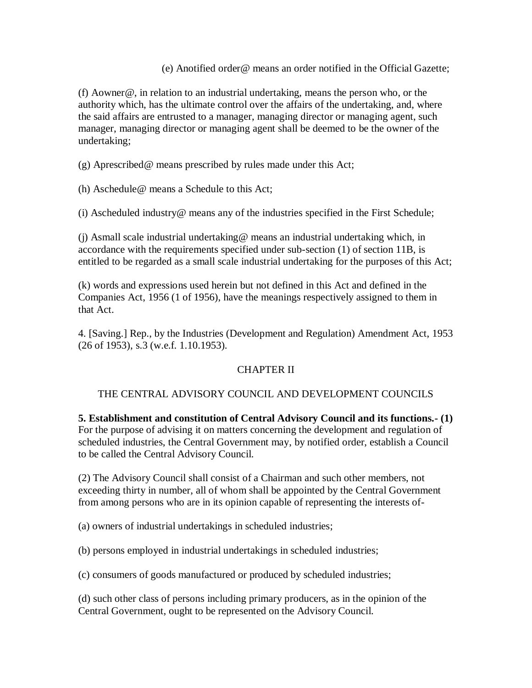(e) Anotified order@ means an order notified in the Official Gazette;

(f) Aowner@, in relation to an industrial undertaking, means the person who, or the authority which, has the ultimate control over the affairs of the undertaking, and, where the said affairs are entrusted to a manager, managing director or managing agent, such manager, managing director or managing agent shall be deemed to be the owner of the undertaking;

(g) Aprescribed@ means prescribed by rules made under this Act;

(h) Aschedule@ means a Schedule to this Act;

(i) Ascheduled industry@ means any of the industries specified in the First Schedule;

(j) Asmall scale industrial undertaking@ means an industrial undertaking which, in accordance with the requirements specified under sub-section (1) of section 11B, is entitled to be regarded as a small scale industrial undertaking for the purposes of this Act;

(k) words and expressions used herein but not defined in this Act and defined in the Companies Act, 1956 (1 of 1956), have the meanings respectively assigned to them in that Act.

4. [Saving.] Rep., by the Industries (Development and Regulation) Amendment Act, 1953 (26 of 1953), s.3 (w.e.f. 1.10.1953).

### CHAPTER II

#### THE CENTRAL ADVISORY COUNCIL AND DEVELOPMENT COUNCILS

**5. Establishment and constitution of Central Advisory Council and its functions.- (1)** For the purpose of advising it on matters concerning the development and regulation of scheduled industries, the Central Government may, by notified order, establish a Council to be called the Central Advisory Council.

(2) The Advisory Council shall consist of a Chairman and such other members, not exceeding thirty in number, all of whom shall be appointed by the Central Government from among persons who are in its opinion capable of representing the interests of-

(a) owners of industrial undertakings in scheduled industries;

(b) persons employed in industrial undertakings in scheduled industries;

(c) consumers of goods manufactured or produced by scheduled industries;

(d) such other class of persons including primary producers, as in the opinion of the Central Government, ought to be represented on the Advisory Council.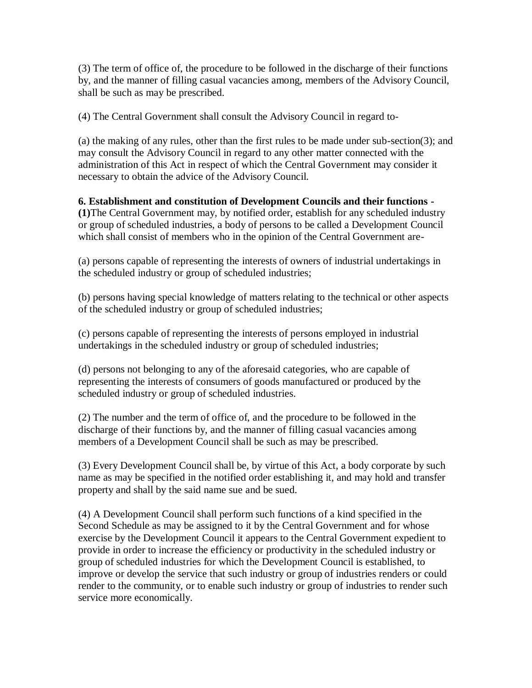(3) The term of office of, the procedure to be followed in the discharge of their functions by, and the manner of filling casual vacancies among, members of the Advisory Council, shall be such as may be prescribed.

(4) The Central Government shall consult the Advisory Council in regard to-

(a) the making of any rules, other than the first rules to be made under sub-section(3); and may consult the Advisory Council in regard to any other matter connected with the administration of this Act in respect of which the Central Government may consider it necessary to obtain the advice of the Advisory Council.

# **6. Establishment and constitution of Development Councils and their functions - (1)**The Central Government may, by notified order, establish for any scheduled industry

or group of scheduled industries, a body of persons to be called a Development Council which shall consist of members who in the opinion of the Central Government are-

(a) persons capable of representing the interests of owners of industrial undertakings in the scheduled industry or group of scheduled industries;

(b) persons having special knowledge of matters relating to the technical or other aspects of the scheduled industry or group of scheduled industries;

(c) persons capable of representing the interests of persons employed in industrial undertakings in the scheduled industry or group of scheduled industries;

(d) persons not belonging to any of the aforesaid categories, who are capable of representing the interests of consumers of goods manufactured or produced by the scheduled industry or group of scheduled industries.

(2) The number and the term of office of, and the procedure to be followed in the discharge of their functions by, and the manner of filling casual vacancies among members of a Development Council shall be such as may be prescribed.

(3) Every Development Council shall be, by virtue of this Act, a body corporate by such name as may be specified in the notified order establishing it, and may hold and transfer property and shall by the said name sue and be sued.

(4) A Development Council shall perform such functions of a kind specified in the Second Schedule as may be assigned to it by the Central Government and for whose exercise by the Development Council it appears to the Central Government expedient to provide in order to increase the efficiency or productivity in the scheduled industry or group of scheduled industries for which the Development Council is established, to improve or develop the service that such industry or group of industries renders or could render to the community, or to enable such industry or group of industries to render such service more economically.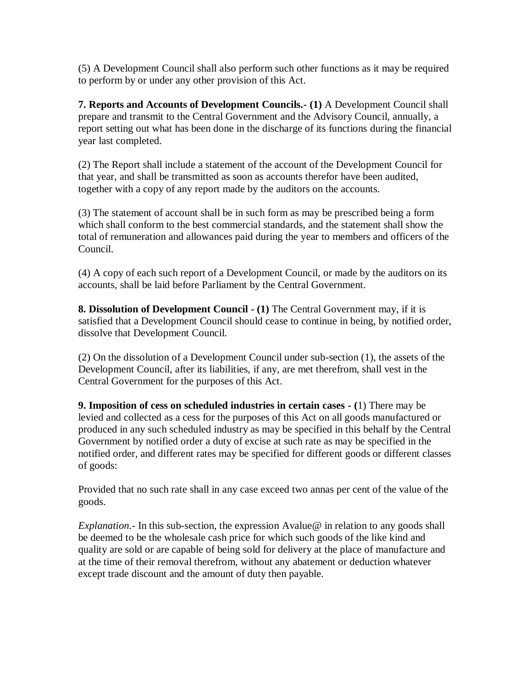(5) A Development Council shall also perform such other functions as it may be required to perform by or under any other provision of this Act.

**7. Reports and Accounts of Development Councils.- (1)** A Development Council shall prepare and transmit to the Central Government and the Advisory Council, annually, a report setting out what has been done in the discharge of its functions during the financial year last completed.

(2) The Report shall include a statement of the account of the Development Council for that year, and shall be transmitted as soon as accounts therefor have been audited, together with a copy of any report made by the auditors on the accounts.

(3) The statement of account shall be in such form as may be prescribed being a form which shall conform to the best commercial standards, and the statement shall show the total of remuneration and allowances paid during the year to members and officers of the Council.

(4) A copy of each such report of a Development Council, or made by the auditors on its accounts, shall be laid before Parliament by the Central Government.

**8. Dissolution of Development Council - (1)** The Central Government may, if it is satisfied that a Development Council should cease to continue in being, by notified order, dissolve that Development Council.

(2) On the dissolution of a Development Council under sub-section (1), the assets of the Development Council, after its liabilities, if any, are met therefrom, shall vest in the Central Government for the purposes of this Act.

**9. Imposition of cess on scheduled industries in certain cases - (**1) There may be levied and collected as a cess for the purposes of this Act on all goods manufactured or produced in any such scheduled industry as may be specified in this behalf by the Central Government by notified order a duty of excise at such rate as may be specified in the notified order, and different rates may be specified for different goods or different classes of goods:

Provided that no such rate shall in any case exceed two annas per cent of the value of the goods.

*Explanation.*- In this sub-section, the expression Avalue @ in relation to any goods shall be deemed to be the wholesale cash price for which such goods of the like kind and quality are sold or are capable of being sold for delivery at the place of manufacture and at the time of their removal therefrom, without any abatement or deduction whatever except trade discount and the amount of duty then payable.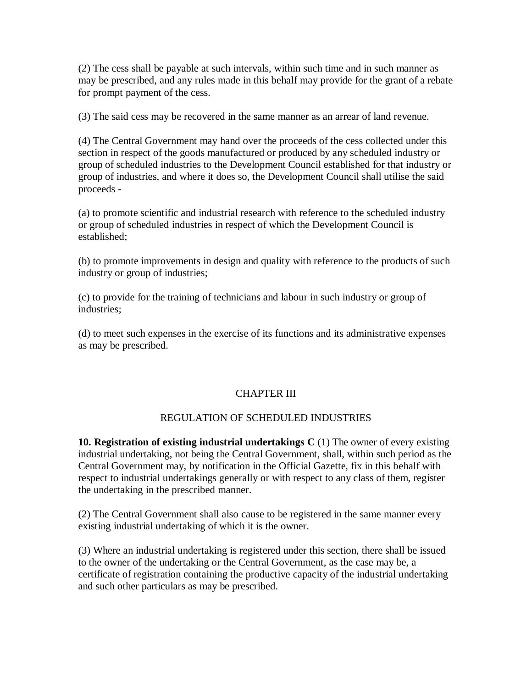(2) The cess shall be payable at such intervals, within such time and in such manner as may be prescribed, and any rules made in this behalf may provide for the grant of a rebate for prompt payment of the cess.

(3) The said cess may be recovered in the same manner as an arrear of land revenue.

(4) The Central Government may hand over the proceeds of the cess collected under this section in respect of the goods manufactured or produced by any scheduled industry or group of scheduled industries to the Development Council established for that industry or group of industries, and where it does so, the Development Council shall utilise the said proceeds -

(a) to promote scientific and industrial research with reference to the scheduled industry or group of scheduled industries in respect of which the Development Council is established;

(b) to promote improvements in design and quality with reference to the products of such industry or group of industries;

(c) to provide for the training of technicians and labour in such industry or group of industries;

(d) to meet such expenses in the exercise of its functions and its administrative expenses as may be prescribed.

### CHAPTER III

### REGULATION OF SCHEDULED INDUSTRIES

**10. Registration of existing industrial undertakings C** (1) The owner of every existing industrial undertaking, not being the Central Government, shall, within such period as the Central Government may, by notification in the Official Gazette, fix in this behalf with respect to industrial undertakings generally or with respect to any class of them, register the undertaking in the prescribed manner.

(2) The Central Government shall also cause to be registered in the same manner every existing industrial undertaking of which it is the owner.

(3) Where an industrial undertaking is registered under this section, there shall be issued to the owner of the undertaking or the Central Government, as the case may be, a certificate of registration containing the productive capacity of the industrial undertaking and such other particulars as may be prescribed.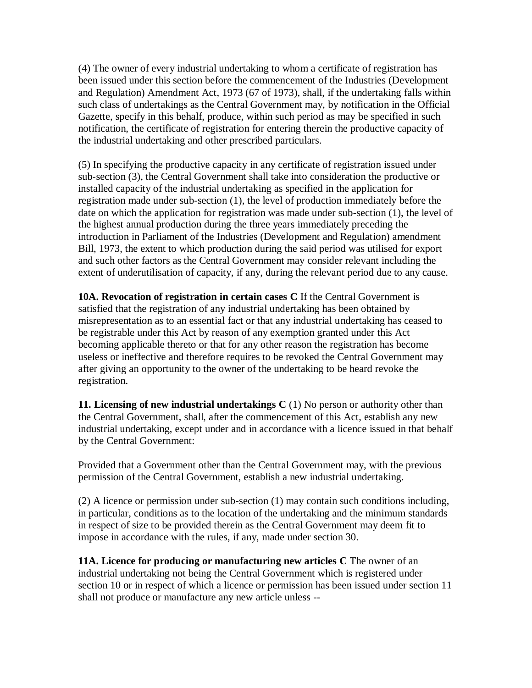(4) The owner of every industrial undertaking to whom a certificate of registration has been issued under this section before the commencement of the Industries (Development and Regulation) Amendment Act, 1973 (67 of 1973), shall, if the undertaking falls within such class of undertakings as the Central Government may, by notification in the Official Gazette, specify in this behalf, produce, within such period as may be specified in such notification, the certificate of registration for entering therein the productive capacity of the industrial undertaking and other prescribed particulars.

(5) In specifying the productive capacity in any certificate of registration issued under sub-section (3), the Central Government shall take into consideration the productive or installed capacity of the industrial undertaking as specified in the application for registration made under sub-section (1), the level of production immediately before the date on which the application for registration was made under sub-section (1), the level of the highest annual production during the three years immediately preceding the introduction in Parliament of the Industries (Development and Regulation) amendment Bill, 1973, the extent to which production during the said period was utilised for export and such other factors as the Central Government may consider relevant including the extent of underutilisation of capacity, if any, during the relevant period due to any cause.

**10A. Revocation of registration in certain cases C** If the Central Government is satisfied that the registration of any industrial undertaking has been obtained by misrepresentation as to an essential fact or that any industrial undertaking has ceased to be registrable under this Act by reason of any exemption granted under this Act becoming applicable thereto or that for any other reason the registration has become useless or ineffective and therefore requires to be revoked the Central Government may after giving an opportunity to the owner of the undertaking to be heard revoke the registration.

**11. Licensing of new industrial undertakings C** (1) No person or authority other than the Central Government, shall, after the commencement of this Act, establish any new industrial undertaking, except under and in accordance with a licence issued in that behalf by the Central Government:

Provided that a Government other than the Central Government may, with the previous permission of the Central Government, establish a new industrial undertaking.

(2) A licence or permission under sub-section (1) may contain such conditions including, in particular, conditions as to the location of the undertaking and the minimum standards in respect of size to be provided therein as the Central Government may deem fit to impose in accordance with the rules, if any, made under section 30.

**11A. Licence for producing or manufacturing new articles C** The owner of an industrial undertaking not being the Central Government which is registered under section 10 or in respect of which a licence or permission has been issued under section 11 shall not produce or manufacture any new article unless --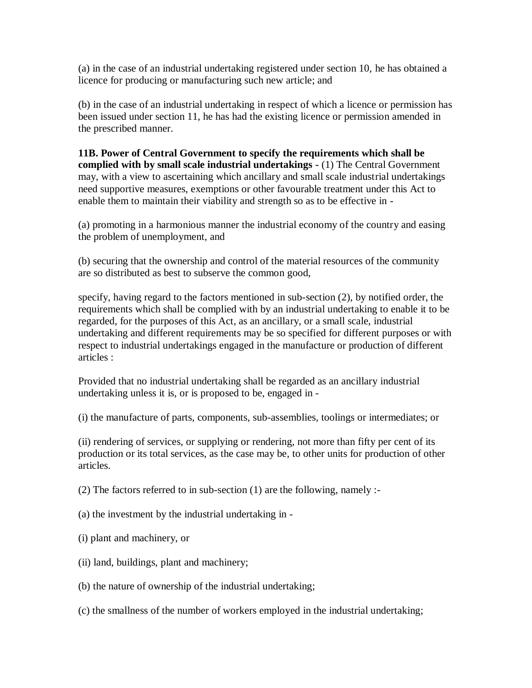(a) in the case of an industrial undertaking registered under section 10, he has obtained a licence for producing or manufacturing such new article; and

(b) in the case of an industrial undertaking in respect of which a licence or permission has been issued under section 11, he has had the existing licence or permission amended in the prescribed manner.

**11B. Power of Central Government to specify the requirements which shall be complied with by small scale industrial undertakings -** (1) The Central Government may, with a view to ascertaining which ancillary and small scale industrial undertakings need supportive measures, exemptions or other favourable treatment under this Act to enable them to maintain their viability and strength so as to be effective in -

(a) promoting in a harmonious manner the industrial economy of the country and easing the problem of unemployment, and

(b) securing that the ownership and control of the material resources of the community are so distributed as best to subserve the common good,

specify, having regard to the factors mentioned in sub-section (2), by notified order, the requirements which shall be complied with by an industrial undertaking to enable it to be regarded, for the purposes of this Act, as an ancillary, or a small scale, industrial undertaking and different requirements may be so specified for different purposes or with respect to industrial undertakings engaged in the manufacture or production of different articles :

Provided that no industrial undertaking shall be regarded as an ancillary industrial undertaking unless it is, or is proposed to be, engaged in -

(i) the manufacture of parts, components, sub-assemblies, toolings or intermediates; or

(ii) rendering of services, or supplying or rendering, not more than fifty per cent of its production or its total services, as the case may be, to other units for production of other articles.

(2) The factors referred to in sub-section (1) are the following, namely :-

(a) the investment by the industrial undertaking in -

(i) plant and machinery, or

- (ii) land, buildings, plant and machinery;
- (b) the nature of ownership of the industrial undertaking;
- (c) the smallness of the number of workers employed in the industrial undertaking;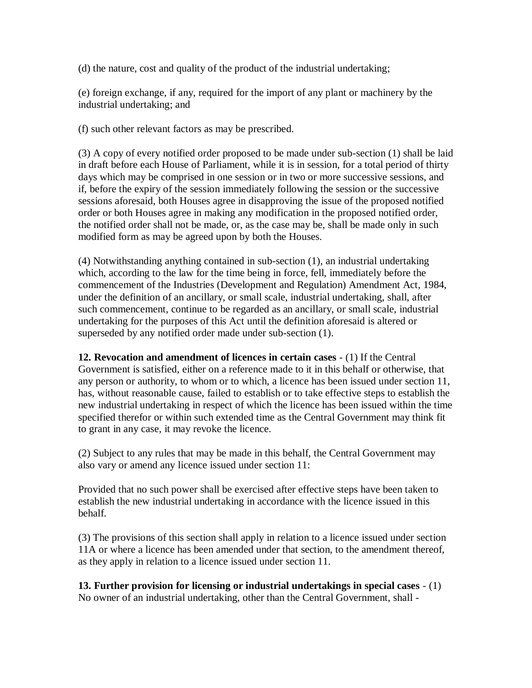(d) the nature, cost and quality of the product of the industrial undertaking;

(e) foreign exchange, if any, required for the import of any plant or machinery by the industrial undertaking; and

(f) such other relevant factors as may be prescribed.

(3) A copy of every notified order proposed to be made under sub-section (1) shall be laid in draft before each House of Parliament, while it is in session, for a total period of thirty days which may be comprised in one session or in two or more successive sessions, and if, before the expiry of the session immediately following the session or the successive sessions aforesaid, both Houses agree in disapproving the issue of the proposed notified order or both Houses agree in making any modification in the proposed notified order, the notified order shall not be made, or, as the case may be, shall be made only in such modified form as may be agreed upon by both the Houses.

(4) Notwithstanding anything contained in sub-section (1), an industrial undertaking which, according to the law for the time being in force, fell, immediately before the commencement of the Industries (Development and Regulation) Amendment Act, 1984, under the definition of an ancillary, or small scale, industrial undertaking, shall, after such commencement, continue to be regarded as an ancillary, or small scale, industrial undertaking for the purposes of this Act until the definition aforesaid is altered or superseded by any notified order made under sub-section (1).

**12. Revocation and amendment of licences in certain cases** - (1) If the Central Government is satisfied, either on a reference made to it in this behalf or otherwise, that any person or authority, to whom or to which, a licence has been issued under section 11, has, without reasonable cause, failed to establish or to take effective steps to establish the new industrial undertaking in respect of which the licence has been issued within the time specified therefor or within such extended time as the Central Government may think fit to grant in any case, it may revoke the licence.

(2) Subject to any rules that may be made in this behalf, the Central Government may also vary or amend any licence issued under section 11:

Provided that no such power shall be exercised after effective steps have been taken to establish the new industrial undertaking in accordance with the licence issued in this behalf.

(3) The provisions of this section shall apply in relation to a licence issued under section 11A or where a licence has been amended under that section, to the amendment thereof, as they apply in relation to a licence issued under section 11.

**13. Further provision for licensing or industrial undertakings in special cases** - (1) No owner of an industrial undertaking, other than the Central Government, shall -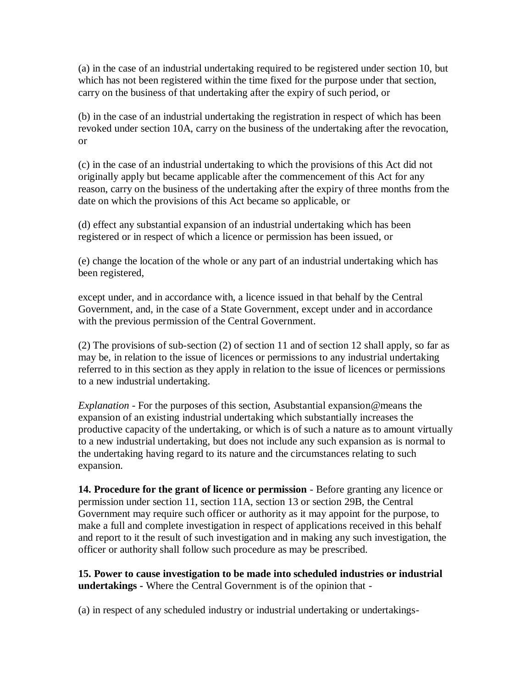(a) in the case of an industrial undertaking required to be registered under section 10, but which has not been registered within the time fixed for the purpose under that section, carry on the business of that undertaking after the expiry of such period, or

(b) in the case of an industrial undertaking the registration in respect of which has been revoked under section 10A, carry on the business of the undertaking after the revocation, or

(c) in the case of an industrial undertaking to which the provisions of this Act did not originally apply but became applicable after the commencement of this Act for any reason, carry on the business of the undertaking after the expiry of three months from the date on which the provisions of this Act became so applicable, or

(d) effect any substantial expansion of an industrial undertaking which has been registered or in respect of which a licence or permission has been issued, or

(e) change the location of the whole or any part of an industrial undertaking which has been registered,

except under, and in accordance with, a licence issued in that behalf by the Central Government, and, in the case of a State Government, except under and in accordance with the previous permission of the Central Government.

(2) The provisions of sub-section (2) of section 11 and of section 12 shall apply, so far as may be, in relation to the issue of licences or permissions to any industrial undertaking referred to in this section as they apply in relation to the issue of licences or permissions to a new industrial undertaking.

*Explanation* - For the purposes of this section, Asubstantial expansion@means the expansion of an existing industrial undertaking which substantially increases the productive capacity of the undertaking, or which is of such a nature as to amount virtually to a new industrial undertaking, but does not include any such expansion as is normal to the undertaking having regard to its nature and the circumstances relating to such expansion.

**14. Procedure for the grant of licence or permission** - Before granting any licence or permission under section 11, section 11A, section 13 or section 29B, the Central Government may require such officer or authority as it may appoint for the purpose, to make a full and complete investigation in respect of applications received in this behalf and report to it the result of such investigation and in making any such investigation, the officer or authority shall follow such procedure as may be prescribed.

**15. Power to cause investigation to be made into scheduled industries or industrial undertakings -** Where the Central Government is of the opinion that -

(a) in respect of any scheduled industry or industrial undertaking or undertakings-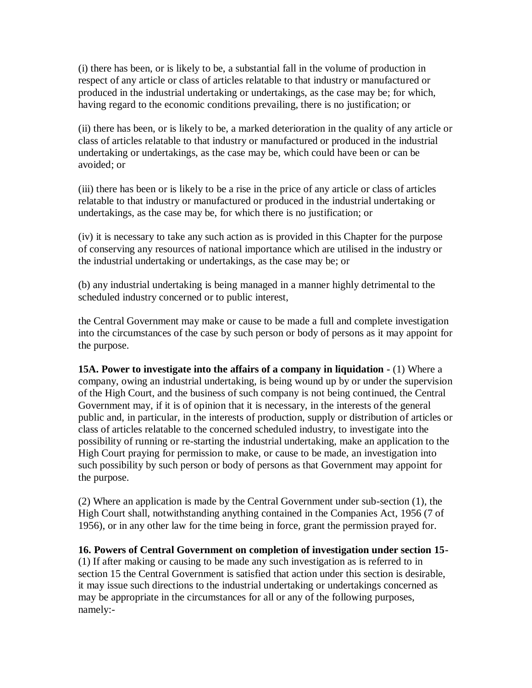(i) there has been, or is likely to be, a substantial fall in the volume of production in respect of any article or class of articles relatable to that industry or manufactured or produced in the industrial undertaking or undertakings, as the case may be; for which, having regard to the economic conditions prevailing, there is no justification; or

(ii) there has been, or is likely to be, a marked deterioration in the quality of any article or class of articles relatable to that industry or manufactured or produced in the industrial undertaking or undertakings, as the case may be, which could have been or can be avoided; or

(iii) there has been or is likely to be a rise in the price of any article or class of articles relatable to that industry or manufactured or produced in the industrial undertaking or undertakings, as the case may be, for which there is no justification; or

(iv) it is necessary to take any such action as is provided in this Chapter for the purpose of conserving any resources of national importance which are utilised in the industry or the industrial undertaking or undertakings, as the case may be; or

(b) any industrial undertaking is being managed in a manner highly detrimental to the scheduled industry concerned or to public interest,

the Central Government may make or cause to be made a full and complete investigation into the circumstances of the case by such person or body of persons as it may appoint for the purpose.

**15A. Power to investigate into the affairs of a company in liquidation -** (1) Where a company, owing an industrial undertaking, is being wound up by or under the supervision of the High Court, and the business of such company is not being continued, the Central Government may, if it is of opinion that it is necessary, in the interests of the general public and, in particular, in the interests of production, supply or distribution of articles or class of articles relatable to the concerned scheduled industry, to investigate into the possibility of running or re-starting the industrial undertaking, make an application to the High Court praying for permission to make, or cause to be made, an investigation into such possibility by such person or body of persons as that Government may appoint for the purpose.

(2) Where an application is made by the Central Government under sub-section (1), the High Court shall, notwithstanding anything contained in the Companies Act, 1956 (7 of 1956), or in any other law for the time being in force, grant the permission prayed for.

**16. Powers of Central Government on completion of investigation under section 15-**

(1) If after making or causing to be made any such investigation as is referred to in section 15 the Central Government is satisfied that action under this section is desirable, it may issue such directions to the industrial undertaking or undertakings concerned as may be appropriate in the circumstances for all or any of the following purposes, namely:-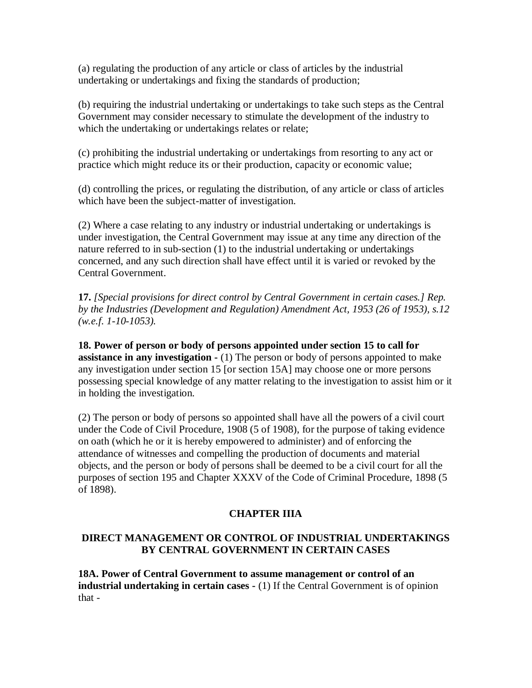(a) regulating the production of any article or class of articles by the industrial undertaking or undertakings and fixing the standards of production;

(b) requiring the industrial undertaking or undertakings to take such steps as the Central Government may consider necessary to stimulate the development of the industry to which the undertaking or undertakings relates or relate;

(c) prohibiting the industrial undertaking or undertakings from resorting to any act or practice which might reduce its or their production, capacity or economic value;

(d) controlling the prices, or regulating the distribution, of any article or class of articles which have been the subject-matter of investigation.

(2) Where a case relating to any industry or industrial undertaking or undertakings is under investigation, the Central Government may issue at any time any direction of the nature referred to in sub-section (1) to the industrial undertaking or undertakings concerned, and any such direction shall have effect until it is varied or revoked by the Central Government.

**17.** *[Special provisions for direct control by Central Government in certain cases.] Rep. by the Industries (Development and Regulation) Amendment Act, 1953 (26 of 1953), s.12 (w.e.f. 1-10-1053).*

**18. Power of person or body of persons appointed under section 15 to call for assistance in any investigation -** (1) The person or body of persons appointed to make any investigation under section 15 [or section 15A] may choose one or more persons possessing special knowledge of any matter relating to the investigation to assist him or it in holding the investigation.

(2) The person or body of persons so appointed shall have all the powers of a civil court under the Code of Civil Procedure, 1908 (5 of 1908), for the purpose of taking evidence on oath (which he or it is hereby empowered to administer) and of enforcing the attendance of witnesses and compelling the production of documents and material objects, and the person or body of persons shall be deemed to be a civil court for all the purposes of section 195 and Chapter XXXV of the Code of Criminal Procedure, 1898 (5 of 1898).

### **CHAPTER IIIA**

### **DIRECT MANAGEMENT OR CONTROL OF INDUSTRIAL UNDERTAKINGS BY CENTRAL GOVERNMENT IN CERTAIN CASES**

**18A. Power of Central Government to assume management or control of an industrial undertaking in certain cases -** (1) If the Central Government is of opinion that -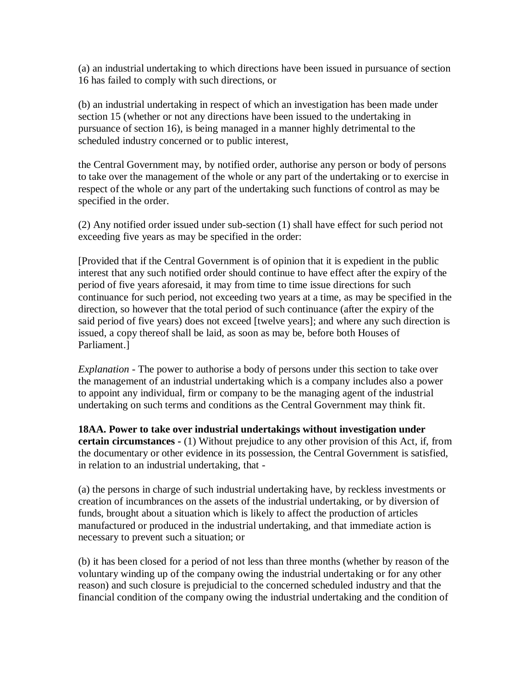(a) an industrial undertaking to which directions have been issued in pursuance of section 16 has failed to comply with such directions, or

(b) an industrial undertaking in respect of which an investigation has been made under section 15 (whether or not any directions have been issued to the undertaking in pursuance of section 16), is being managed in a manner highly detrimental to the scheduled industry concerned or to public interest,

the Central Government may, by notified order, authorise any person or body of persons to take over the management of the whole or any part of the undertaking or to exercise in respect of the whole or any part of the undertaking such functions of control as may be specified in the order.

(2) Any notified order issued under sub-section (1) shall have effect for such period not exceeding five years as may be specified in the order:

[Provided that if the Central Government is of opinion that it is expedient in the public interest that any such notified order should continue to have effect after the expiry of the period of five years aforesaid, it may from time to time issue directions for such continuance for such period, not exceeding two years at a time, as may be specified in the direction, so however that the total period of such continuance (after the expiry of the said period of five years) does not exceed [twelve years]; and where any such direction is issued, a copy thereof shall be laid, as soon as may be, before both Houses of Parliament.]

*Explanation -* The power to authorise a body of persons under this section to take over the management of an industrial undertaking which is a company includes also a power to appoint any individual, firm or company to be the managing agent of the industrial undertaking on such terms and conditions as the Central Government may think fit.

**18AA. Power to take over industrial undertakings without investigation under certain circumstances -** (1) Without prejudice to any other provision of this Act, if, from the documentary or other evidence in its possession, the Central Government is satisfied, in relation to an industrial undertaking, that -

(a) the persons in charge of such industrial undertaking have, by reckless investments or creation of incumbrances on the assets of the industrial undertaking, or by diversion of funds, brought about a situation which is likely to affect the production of articles manufactured or produced in the industrial undertaking, and that immediate action is necessary to prevent such a situation; or

(b) it has been closed for a period of not less than three months (whether by reason of the voluntary winding up of the company owing the industrial undertaking or for any other reason) and such closure is prejudicial to the concerned scheduled industry and that the financial condition of the company owing the industrial undertaking and the condition of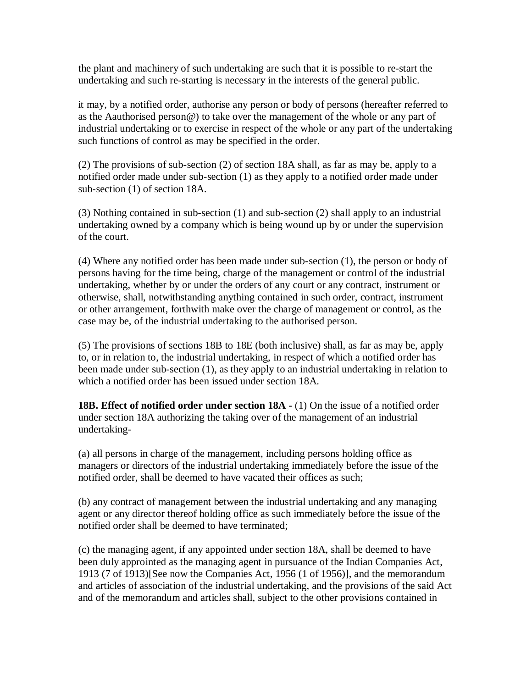the plant and machinery of such undertaking are such that it is possible to re-start the undertaking and such re-starting is necessary in the interests of the general public.

it may, by a notified order, authorise any person or body of persons (hereafter referred to as the Aauthorised person@) to take over the management of the whole or any part of industrial undertaking or to exercise in respect of the whole or any part of the undertaking such functions of control as may be specified in the order.

(2) The provisions of sub-section (2) of section 18A shall, as far as may be, apply to a notified order made under sub-section (1) as they apply to a notified order made under sub-section (1) of section 18A.

(3) Nothing contained in sub-section (1) and sub-section (2) shall apply to an industrial undertaking owned by a company which is being wound up by or under the supervision of the court.

(4) Where any notified order has been made under sub-section (1), the person or body of persons having for the time being, charge of the management or control of the industrial undertaking, whether by or under the orders of any court or any contract, instrument or otherwise, shall, notwithstanding anything contained in such order, contract, instrument or other arrangement, forthwith make over the charge of management or control, as the case may be, of the industrial undertaking to the authorised person.

(5) The provisions of sections 18B to 18E (both inclusive) shall, as far as may be, apply to, or in relation to, the industrial undertaking, in respect of which a notified order has been made under sub-section (1), as they apply to an industrial undertaking in relation to which a notified order has been issued under section 18A.

**18B. Effect of notified order under section 18A -** (1) On the issue of a notified order under section 18A authorizing the taking over of the management of an industrial undertaking-

(a) all persons in charge of the management, including persons holding office as managers or directors of the industrial undertaking immediately before the issue of the notified order, shall be deemed to have vacated their offices as such;

(b) any contract of management between the industrial undertaking and any managing agent or any director thereof holding office as such immediately before the issue of the notified order shall be deemed to have terminated;

(c) the managing agent, if any appointed under section 18A, shall be deemed to have been duly approinted as the managing agent in pursuance of the Indian Companies Act, 1913 (7 of 1913)[See now the Companies Act, 1956 (1 of 1956)], and the memorandum and articles of association of the industrial undertaking, and the provisions of the said Act and of the memorandum and articles shall, subject to the other provisions contained in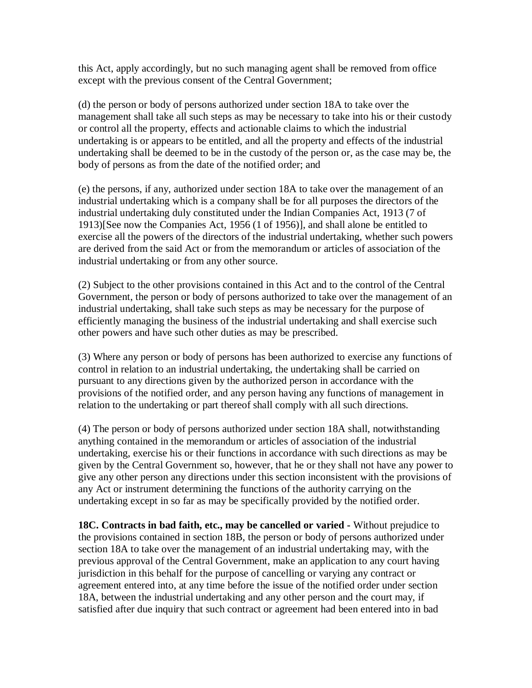this Act, apply accordingly, but no such managing agent shall be removed from office except with the previous consent of the Central Government;

(d) the person or body of persons authorized under section 18A to take over the management shall take all such steps as may be necessary to take into his or their custody or control all the property, effects and actionable claims to which the industrial undertaking is or appears to be entitled, and all the property and effects of the industrial undertaking shall be deemed to be in the custody of the person or, as the case may be, the body of persons as from the date of the notified order; and

(e) the persons, if any, authorized under section 18A to take over the management of an industrial undertaking which is a company shall be for all purposes the directors of the industrial undertaking duly constituted under the Indian Companies Act, 1913 (7 of 1913)[See now the Companies Act, 1956 (1 of 1956)], and shall alone be entitled to exercise all the powers of the directors of the industrial undertaking, whether such powers are derived from the said Act or from the memorandum or articles of association of the industrial undertaking or from any other source.

(2) Subject to the other provisions contained in this Act and to the control of the Central Government, the person or body of persons authorized to take over the management of an industrial undertaking, shall take such steps as may be necessary for the purpose of efficiently managing the business of the industrial undertaking and shall exercise such other powers and have such other duties as may be prescribed.

(3) Where any person or body of persons has been authorized to exercise any functions of control in relation to an industrial undertaking, the undertaking shall be carried on pursuant to any directions given by the authorized person in accordance with the provisions of the notified order, and any person having any functions of management in relation to the undertaking or part thereof shall comply with all such directions.

(4) The person or body of persons authorized under section 18A shall, notwithstanding anything contained in the memorandum or articles of association of the industrial undertaking, exercise his or their functions in accordance with such directions as may be given by the Central Government so, however, that he or they shall not have any power to give any other person any directions under this section inconsistent with the provisions of any Act or instrument determining the functions of the authority carrying on the undertaking except in so far as may be specifically provided by the notified order.

**18C. Contracts in bad faith, etc., may be cancelled or varied -** Without prejudice to the provisions contained in section 18B, the person or body of persons authorized under section 18A to take over the management of an industrial undertaking may, with the previous approval of the Central Government, make an application to any court having jurisdiction in this behalf for the purpose of cancelling or varying any contract or agreement entered into, at any time before the issue of the notified order under section 18A, between the industrial undertaking and any other person and the court may, if satisfied after due inquiry that such contract or agreement had been entered into in bad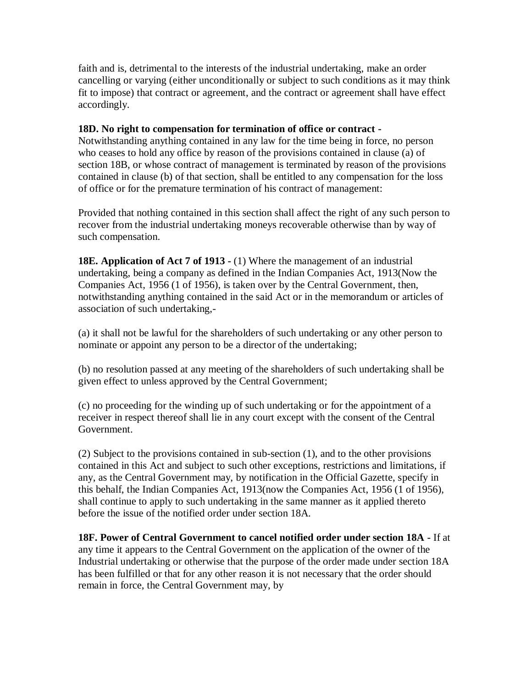faith and is, detrimental to the interests of the industrial undertaking, make an order cancelling or varying (either unconditionally or subject to such conditions as it may think fit to impose) that contract or agreement, and the contract or agreement shall have effect accordingly.

#### **18D. No right to compensation for termination of office or contract -**

Notwithstanding anything contained in any law for the time being in force, no person who ceases to hold any office by reason of the provisions contained in clause (a) of section 18B, or whose contract of management is terminated by reason of the provisions contained in clause (b) of that section, shall be entitled to any compensation for the loss of office or for the premature termination of his contract of management:

Provided that nothing contained in this section shall affect the right of any such person to recover from the industrial undertaking moneys recoverable otherwise than by way of such compensation.

**18E. Application of Act 7 of 1913 -** (1) Where the management of an industrial undertaking, being a company as defined in the Indian Companies Act, 1913(Now the Companies Act, 1956 (1 of 1956), is taken over by the Central Government, then, notwithstanding anything contained in the said Act or in the memorandum or articles of association of such undertaking,-

(a) it shall not be lawful for the shareholders of such undertaking or any other person to nominate or appoint any person to be a director of the undertaking;

(b) no resolution passed at any meeting of the shareholders of such undertaking shall be given effect to unless approved by the Central Government;

(c) no proceeding for the winding up of such undertaking or for the appointment of a receiver in respect thereof shall lie in any court except with the consent of the Central Government.

(2) Subject to the provisions contained in sub-section (1), and to the other provisions contained in this Act and subject to such other exceptions, restrictions and limitations, if any, as the Central Government may, by notification in the Official Gazette, specify in this behalf, the Indian Companies Act, 1913(now the Companies Act, 1956 (1 of 1956), shall continue to apply to such undertaking in the same manner as it applied thereto before the issue of the notified order under section 18A.

**18F. Power of Central Government to cancel notified order under section 18A -** If at any time it appears to the Central Government on the application of the owner of the Industrial undertaking or otherwise that the purpose of the order made under section 18A has been fulfilled or that for any other reason it is not necessary that the order should remain in force, the Central Government may, by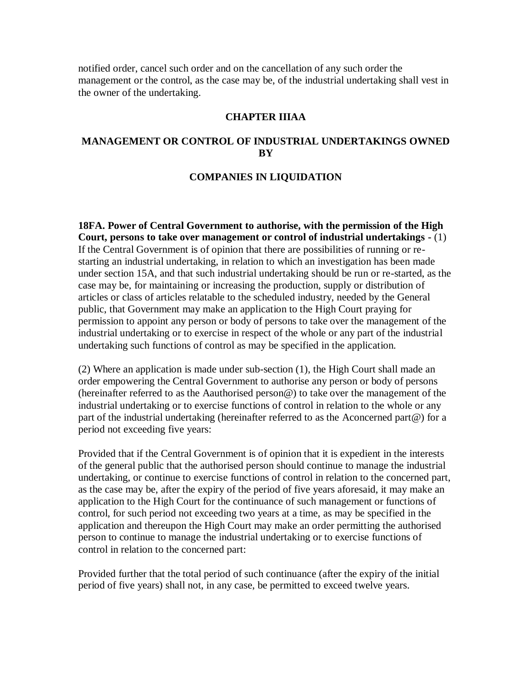notified order, cancel such order and on the cancellation of any such order the management or the control, as the case may be, of the industrial undertaking shall vest in the owner of the undertaking.

#### **CHAPTER IIIAA**

#### **MANAGEMENT OR CONTROL OF INDUSTRIAL UNDERTAKINGS OWNED BY**

#### **COMPANIES IN LIQUIDATION**

**18FA. Power of Central Government to authorise, with the permission of the High Court, persons to take over management or control of industrial undertakings -** (1) If the Central Government is of opinion that there are possibilities of running or restarting an industrial undertaking, in relation to which an investigation has been made under section 15A, and that such industrial undertaking should be run or re-started, as the case may be, for maintaining or increasing the production, supply or distribution of articles or class of articles relatable to the scheduled industry, needed by the General public, that Government may make an application to the High Court praying for permission to appoint any person or body of persons to take over the management of the industrial undertaking or to exercise in respect of the whole or any part of the industrial undertaking such functions of control as may be specified in the application.

(2) Where an application is made under sub-section (1), the High Court shall made an order empowering the Central Government to authorise any person or body of persons (hereinafter referred to as the Aauthorised person@) to take over the management of the industrial undertaking or to exercise functions of control in relation to the whole or any part of the industrial undertaking (hereinafter referred to as the Aconcerned part@) for a period not exceeding five years:

Provided that if the Central Government is of opinion that it is expedient in the interests of the general public that the authorised person should continue to manage the industrial undertaking, or continue to exercise functions of control in relation to the concerned part, as the case may be, after the expiry of the period of five years aforesaid, it may make an application to the High Court for the continuance of such management or functions of control, for such period not exceeding two years at a time, as may be specified in the application and thereupon the High Court may make an order permitting the authorised person to continue to manage the industrial undertaking or to exercise functions of control in relation to the concerned part:

Provided further that the total period of such continuance (after the expiry of the initial period of five years) shall not, in any case, be permitted to exceed twelve years.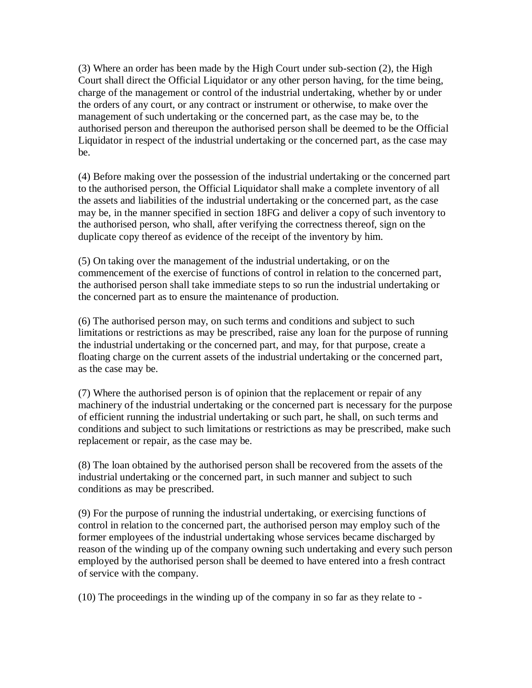(3) Where an order has been made by the High Court under sub-section (2), the High Court shall direct the Official Liquidator or any other person having, for the time being, charge of the management or control of the industrial undertaking, whether by or under the orders of any court, or any contract or instrument or otherwise, to make over the management of such undertaking or the concerned part, as the case may be, to the authorised person and thereupon the authorised person shall be deemed to be the Official Liquidator in respect of the industrial undertaking or the concerned part, as the case may be.

(4) Before making over the possession of the industrial undertaking or the concerned part to the authorised person, the Official Liquidator shall make a complete inventory of all the assets and liabilities of the industrial undertaking or the concerned part, as the case may be, in the manner specified in section 18FG and deliver a copy of such inventory to the authorised person, who shall, after verifying the correctness thereof, sign on the duplicate copy thereof as evidence of the receipt of the inventory by him.

(5) On taking over the management of the industrial undertaking, or on the commencement of the exercise of functions of control in relation to the concerned part, the authorised person shall take immediate steps to so run the industrial undertaking or the concerned part as to ensure the maintenance of production.

(6) The authorised person may, on such terms and conditions and subject to such limitations or restrictions as may be prescribed, raise any loan for the purpose of running the industrial undertaking or the concerned part, and may, for that purpose, create a floating charge on the current assets of the industrial undertaking or the concerned part, as the case may be.

(7) Where the authorised person is of opinion that the replacement or repair of any machinery of the industrial undertaking or the concerned part is necessary for the purpose of efficient running the industrial undertaking or such part, he shall, on such terms and conditions and subject to such limitations or restrictions as may be prescribed, make such replacement or repair, as the case may be.

(8) The loan obtained by the authorised person shall be recovered from the assets of the industrial undertaking or the concerned part, in such manner and subject to such conditions as may be prescribed.

(9) For the purpose of running the industrial undertaking, or exercising functions of control in relation to the concerned part, the authorised person may employ such of the former employees of the industrial undertaking whose services became discharged by reason of the winding up of the company owning such undertaking and every such person employed by the authorised person shall be deemed to have entered into a fresh contract of service with the company.

(10) The proceedings in the winding up of the company in so far as they relate to -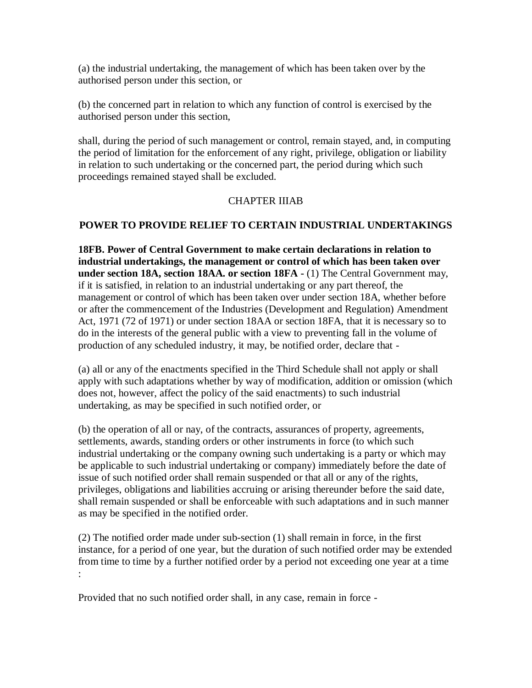(a) the industrial undertaking, the management of which has been taken over by the authorised person under this section, or

(b) the concerned part in relation to which any function of control is exercised by the authorised person under this section,

shall, during the period of such management or control, remain stayed, and, in computing the period of limitation for the enforcement of any right, privilege, obligation or liability in relation to such undertaking or the concerned part, the period during which such proceedings remained stayed shall be excluded.

#### CHAPTER IIIAB

### **POWER TO PROVIDE RELIEF TO CERTAIN INDUSTRIAL UNDERTAKINGS**

**18FB. Power of Central Government to make certain declarations in relation to industrial undertakings, the management or control of which has been taken over under section 18A, section 18AA. or section 18FA -** (1) The Central Government may, if it is satisfied, in relation to an industrial undertaking or any part thereof, the management or control of which has been taken over under section 18A, whether before or after the commencement of the Industries (Development and Regulation) Amendment Act, 1971 (72 of 1971) or under section 18AA or section 18FA, that it is necessary so to do in the interests of the general public with a view to preventing fall in the volume of production of any scheduled industry, it may, be notified order, declare that -

(a) all or any of the enactments specified in the Third Schedule shall not apply or shall apply with such adaptations whether by way of modification, addition or omission (which does not, however, affect the policy of the said enactments) to such industrial undertaking, as may be specified in such notified order, or

(b) the operation of all or nay, of the contracts, assurances of property, agreements, settlements, awards, standing orders or other instruments in force (to which such industrial undertaking or the company owning such undertaking is a party or which may be applicable to such industrial undertaking or company) immediately before the date of issue of such notified order shall remain suspended or that all or any of the rights, privileges, obligations and liabilities accruing or arising thereunder before the said date, shall remain suspended or shall be enforceable with such adaptations and in such manner as may be specified in the notified order.

(2) The notified order made under sub-section (1) shall remain in force, in the first instance, for a period of one year, but the duration of such notified order may be extended from time to time by a further notified order by a period not exceeding one year at a time :

Provided that no such notified order shall, in any case, remain in force -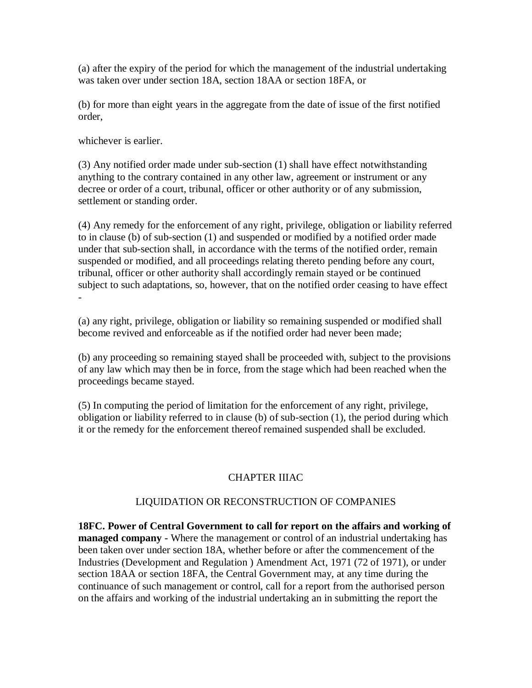(a) after the expiry of the period for which the management of the industrial undertaking was taken over under section 18A, section 18AA or section 18FA, or

(b) for more than eight years in the aggregate from the date of issue of the first notified order,

whichever is earlier.

(3) Any notified order made under sub-section (1) shall have effect notwithstanding anything to the contrary contained in any other law, agreement or instrument or any decree or order of a court, tribunal, officer or other authority or of any submission, settlement or standing order.

(4) Any remedy for the enforcement of any right, privilege, obligation or liability referred to in clause (b) of sub-section (1) and suspended or modified by a notified order made under that sub-section shall, in accordance with the terms of the notified order, remain suspended or modified, and all proceedings relating thereto pending before any court, tribunal, officer or other authority shall accordingly remain stayed or be continued subject to such adaptations, so, however, that on the notified order ceasing to have effect -

(a) any right, privilege, obligation or liability so remaining suspended or modified shall become revived and enforceable as if the notified order had never been made;

(b) any proceeding so remaining stayed shall be proceeded with, subject to the provisions of any law which may then be in force, from the stage which had been reached when the proceedings became stayed.

(5) In computing the period of limitation for the enforcement of any right, privilege, obligation or liability referred to in clause (b) of sub-section (1), the period during which it or the remedy for the enforcement thereof remained suspended shall be excluded.

# CHAPTER IIIAC

# LIQUIDATION OR RECONSTRUCTION OF COMPANIES

**18FC. Power of Central Government to call for report on the affairs and working of managed company -** Where the management or control of an industrial undertaking has been taken over under section 18A, whether before or after the commencement of the Industries (Development and Regulation ) Amendment Act, 1971 (72 of 1971), or under section 18AA or section 18FA, the Central Government may, at any time during the continuance of such management or control, call for a report from the authorised person on the affairs and working of the industrial undertaking an in submitting the report the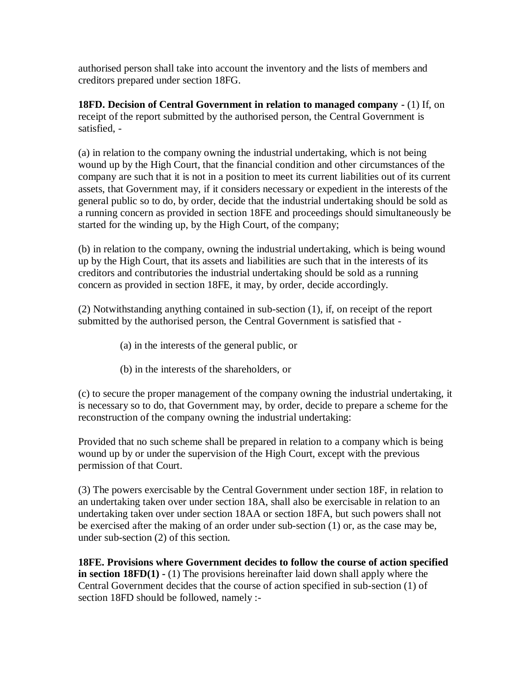authorised person shall take into account the inventory and the lists of members and creditors prepared under section 18FG.

**18FD. Decision of Central Government in relation to managed company -** (1) If, on receipt of the report submitted by the authorised person, the Central Government is satisfied, -

(a) in relation to the company owning the industrial undertaking, which is not being wound up by the High Court, that the financial condition and other circumstances of the company are such that it is not in a position to meet its current liabilities out of its current assets, that Government may, if it considers necessary or expedient in the interests of the general public so to do, by order, decide that the industrial undertaking should be sold as a running concern as provided in section 18FE and proceedings should simultaneously be started for the winding up, by the High Court, of the company;

(b) in relation to the company, owning the industrial undertaking, which is being wound up by the High Court, that its assets and liabilities are such that in the interests of its creditors and contributories the industrial undertaking should be sold as a running concern as provided in section 18FE, it may, by order, decide accordingly.

(2) Notwithstanding anything contained in sub-section (1), if, on receipt of the report submitted by the authorised person, the Central Government is satisfied that -

- (a) in the interests of the general public, or
- (b) in the interests of the shareholders, or

(c) to secure the proper management of the company owning the industrial undertaking, it is necessary so to do, that Government may, by order, decide to prepare a scheme for the reconstruction of the company owning the industrial undertaking:

Provided that no such scheme shall be prepared in relation to a company which is being wound up by or under the supervision of the High Court, except with the previous permission of that Court.

(3) The powers exercisable by the Central Government under section 18F, in relation to an undertaking taken over under section 18A, shall also be exercisable in relation to an undertaking taken over under section 18AA or section 18FA, but such powers shall not be exercised after the making of an order under sub-section (1) or, as the case may be, under sub-section (2) of this section.

**18FE. Provisions where Government decides to follow the course of action specified in section 18FD(1) -** (1) The provisions hereinafter laid down shall apply where the Central Government decides that the course of action specified in sub-section (1) of section 18FD should be followed, namely :-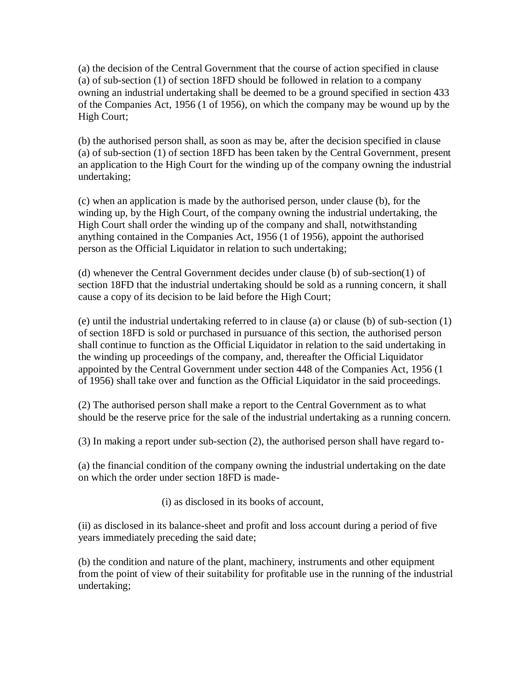(a) the decision of the Central Government that the course of action specified in clause (a) of sub-section (1) of section 18FD should be followed in relation to a company owning an industrial undertaking shall be deemed to be a ground specified in section 433 of the Companies Act, 1956 (1 of 1956), on which the company may be wound up by the High Court;

(b) the authorised person shall, as soon as may be, after the decision specified in clause (a) of sub-section (1) of section 18FD has been taken by the Central Government, present an application to the High Court for the winding up of the company owning the industrial undertaking;

(c) when an application is made by the authorised person, under clause (b), for the winding up, by the High Court, of the company owning the industrial undertaking, the High Court shall order the winding up of the company and shall, notwithstanding anything contained in the Companies Act, 1956 (1 of 1956), appoint the authorised person as the Official Liquidator in relation to such undertaking;

(d) whenever the Central Government decides under clause (b) of sub-section(1) of section 18FD that the industrial undertaking should be sold as a running concern, it shall cause a copy of its decision to be laid before the High Court;

(e) until the industrial undertaking referred to in clause (a) or clause (b) of sub-section (1) of section 18FD is sold or purchased in pursuance of this section, the authorised person shall continue to function as the Official Liquidator in relation to the said undertaking in the winding up proceedings of the company, and, thereafter the Official Liquidator appointed by the Central Government under section 448 of the Companies Act, 1956 (1 of 1956) shall take over and function as the Official Liquidator in the said proceedings.

(2) The authorised person shall make a report to the Central Government as to what should be the reserve price for the sale of the industrial undertaking as a running concern.

(3) In making a report under sub-section (2), the authorised person shall have regard to-

(a) the financial condition of the company owning the industrial undertaking on the date on which the order under section 18FD is made-

(i) as disclosed in its books of account,

(ii) as disclosed in its balance-sheet and profit and loss account during a period of five years immediately preceding the said date;

(b) the condition and nature of the plant, machinery, instruments and other equipment from the point of view of their suitability for profitable use in the running of the industrial undertaking;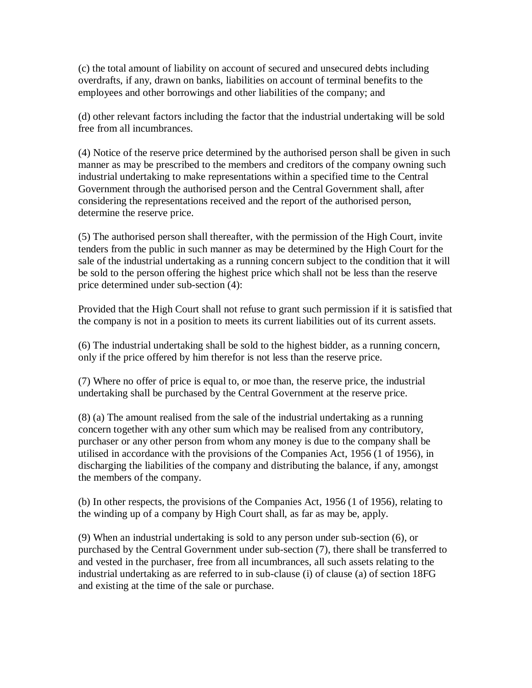(c) the total amount of liability on account of secured and unsecured debts including overdrafts, if any, drawn on banks, liabilities on account of terminal benefits to the employees and other borrowings and other liabilities of the company; and

(d) other relevant factors including the factor that the industrial undertaking will be sold free from all incumbrances.

(4) Notice of the reserve price determined by the authorised person shall be given in such manner as may be prescribed to the members and creditors of the company owning such industrial undertaking to make representations within a specified time to the Central Government through the authorised person and the Central Government shall, after considering the representations received and the report of the authorised person, determine the reserve price.

(5) The authorised person shall thereafter, with the permission of the High Court, invite tenders from the public in such manner as may be determined by the High Court for the sale of the industrial undertaking as a running concern subject to the condition that it will be sold to the person offering the highest price which shall not be less than the reserve price determined under sub-section (4):

Provided that the High Court shall not refuse to grant such permission if it is satisfied that the company is not in a position to meets its current liabilities out of its current assets.

(6) The industrial undertaking shall be sold to the highest bidder, as a running concern, only if the price offered by him therefor is not less than the reserve price.

(7) Where no offer of price is equal to, or moe than, the reserve price, the industrial undertaking shall be purchased by the Central Government at the reserve price.

(8) (a) The amount realised from the sale of the industrial undertaking as a running concern together with any other sum which may be realised from any contributory, purchaser or any other person from whom any money is due to the company shall be utilised in accordance with the provisions of the Companies Act, 1956 (1 of 1956), in discharging the liabilities of the company and distributing the balance, if any, amongst the members of the company.

(b) In other respects, the provisions of the Companies Act, 1956 (1 of 1956), relating to the winding up of a company by High Court shall, as far as may be, apply.

(9) When an industrial undertaking is sold to any person under sub-section (6), or purchased by the Central Government under sub-section (7), there shall be transferred to and vested in the purchaser, free from all incumbrances, all such assets relating to the industrial undertaking as are referred to in sub-clause (i) of clause (a) of section 18FG and existing at the time of the sale or purchase.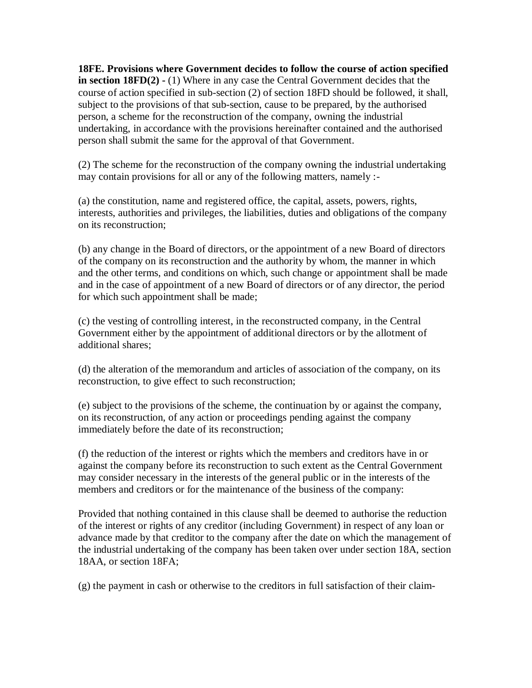**18FE. Provisions where Government decides to follow the course of action specified in section 18FD(2) -** (1) Where in any case the Central Government decides that the course of action specified in sub-section (2) of section 18FD should be followed, it shall, subject to the provisions of that sub-section, cause to be prepared, by the authorised person, a scheme for the reconstruction of the company, owning the industrial undertaking, in accordance with the provisions hereinafter contained and the authorised person shall submit the same for the approval of that Government.

(2) The scheme for the reconstruction of the company owning the industrial undertaking may contain provisions for all or any of the following matters, namely :-

(a) the constitution, name and registered office, the capital, assets, powers, rights, interests, authorities and privileges, the liabilities, duties and obligations of the company on its reconstruction;

(b) any change in the Board of directors, or the appointment of a new Board of directors of the company on its reconstruction and the authority by whom, the manner in which and the other terms, and conditions on which, such change or appointment shall be made and in the case of appointment of a new Board of directors or of any director, the period for which such appointment shall be made;

(c) the vesting of controlling interest, in the reconstructed company, in the Central Government either by the appointment of additional directors or by the allotment of additional shares;

(d) the alteration of the memorandum and articles of association of the company, on its reconstruction, to give effect to such reconstruction;

(e) subject to the provisions of the scheme, the continuation by or against the company, on its reconstruction, of any action or proceedings pending against the company immediately before the date of its reconstruction;

(f) the reduction of the interest or rights which the members and creditors have in or against the company before its reconstruction to such extent as the Central Government may consider necessary in the interests of the general public or in the interests of the members and creditors or for the maintenance of the business of the company:

Provided that nothing contained in this clause shall be deemed to authorise the reduction of the interest or rights of any creditor (including Government) in respect of any loan or advance made by that creditor to the company after the date on which the management of the industrial undertaking of the company has been taken over under section 18A, section 18AA, or section 18FA;

(g) the payment in cash or otherwise to the creditors in full satisfaction of their claim-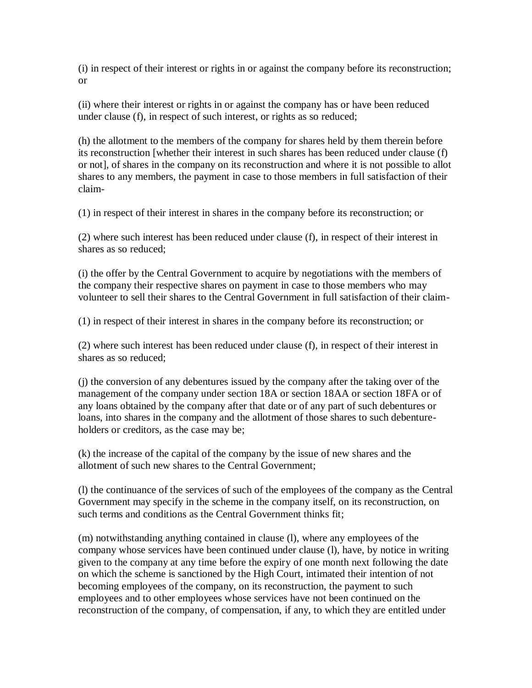(i) in respect of their interest or rights in or against the company before its reconstruction; or

(ii) where their interest or rights in or against the company has or have been reduced under clause (f), in respect of such interest, or rights as so reduced;

(h) the allotment to the members of the company for shares held by them therein before its reconstruction [whether their interest in such shares has been reduced under clause (f) or not], of shares in the company on its reconstruction and where it is not possible to allot shares to any members, the payment in case to those members in full satisfaction of their claim-

(1) in respect of their interest in shares in the company before its reconstruction; or

(2) where such interest has been reduced under clause (f), in respect of their interest in shares as so reduced;

(i) the offer by the Central Government to acquire by negotiations with the members of the company their respective shares on payment in case to those members who may volunteer to sell their shares to the Central Government in full satisfaction of their claim-

(1) in respect of their interest in shares in the company before its reconstruction; or

(2) where such interest has been reduced under clause (f), in respect of their interest in shares as so reduced;

(j) the conversion of any debentures issued by the company after the taking over of the management of the company under section 18A or section 18AA or section 18FA or of any loans obtained by the company after that date or of any part of such debentures or loans, into shares in the company and the allotment of those shares to such debentureholders or creditors, as the case may be;

(k) the increase of the capital of the company by the issue of new shares and the allotment of such new shares to the Central Government;

(l) the continuance of the services of such of the employees of the company as the Central Government may specify in the scheme in the company itself, on its reconstruction, on such terms and conditions as the Central Government thinks fit;

(m) notwithstanding anything contained in clause (l), where any employees of the company whose services have been continued under clause (l), have, by notice in writing given to the company at any time before the expiry of one month next following the date on which the scheme is sanctioned by the High Court, intimated their intention of not becoming employees of the company, on its reconstruction, the payment to such employees and to other employees whose services have not been continued on the reconstruction of the company, of compensation, if any, to which they are entitled under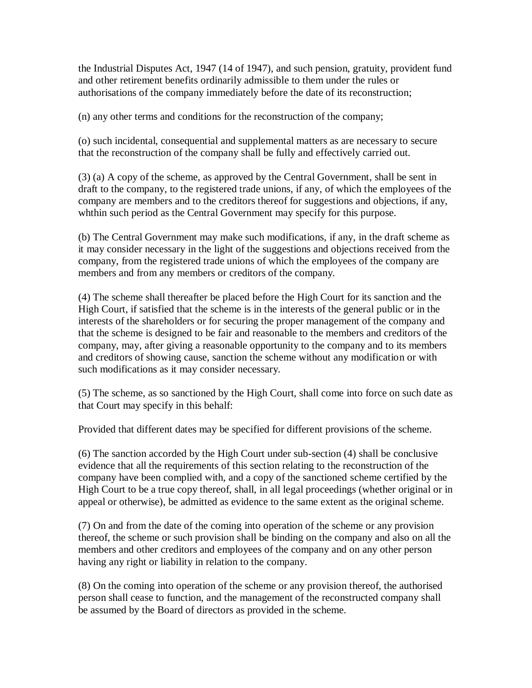the Industrial Disputes Act, 1947 (14 of 1947), and such pension, gratuity, provident fund and other retirement benefits ordinarily admissible to them under the rules or authorisations of the company immediately before the date of its reconstruction;

(n) any other terms and conditions for the reconstruction of the company;

(o) such incidental, consequential and supplemental matters as are necessary to secure that the reconstruction of the company shall be fully and effectively carried out.

(3) (a) A copy of the scheme, as approved by the Central Government, shall be sent in draft to the company, to the registered trade unions, if any, of which the employees of the company are members and to the creditors thereof for suggestions and objections, if any, whthin such period as the Central Government may specify for this purpose.

(b) The Central Government may make such modifications, if any, in the draft scheme as it may consider necessary in the light of the suggestions and objections received from the company, from the registered trade unions of which the employees of the company are members and from any members or creditors of the company.

(4) The scheme shall thereafter be placed before the High Court for its sanction and the High Court, if satisfied that the scheme is in the interests of the general public or in the interests of the shareholders or for securing the proper management of the company and that the scheme is designed to be fair and reasonable to the members and creditors of the company, may, after giving a reasonable opportunity to the company and to its members and creditors of showing cause, sanction the scheme without any modification or with such modifications as it may consider necessary.

(5) The scheme, as so sanctioned by the High Court, shall come into force on such date as that Court may specify in this behalf:

Provided that different dates may be specified for different provisions of the scheme.

(6) The sanction accorded by the High Court under sub-section (4) shall be conclusive evidence that all the requirements of this section relating to the reconstruction of the company have been complied with, and a copy of the sanctioned scheme certified by the High Court to be a true copy thereof, shall, in all legal proceedings (whether original or in appeal or otherwise), be admitted as evidence to the same extent as the original scheme.

(7) On and from the date of the coming into operation of the scheme or any provision thereof, the scheme or such provision shall be binding on the company and also on all the members and other creditors and employees of the company and on any other person having any right or liability in relation to the company.

(8) On the coming into operation of the scheme or any provision thereof, the authorised person shall cease to function, and the management of the reconstructed company shall be assumed by the Board of directors as provided in the scheme.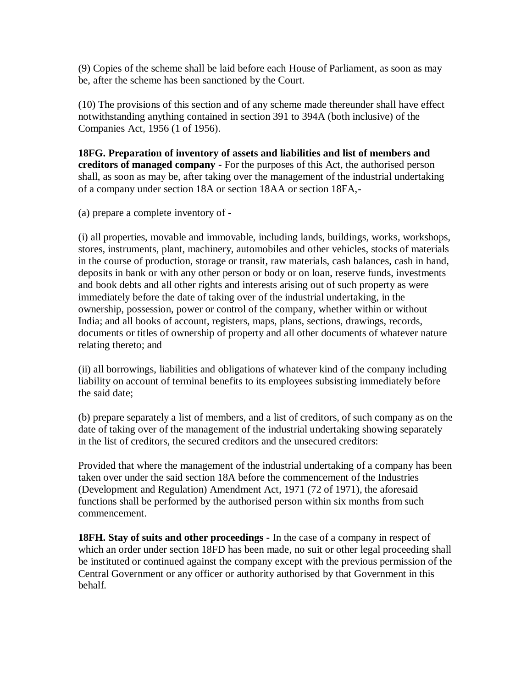(9) Copies of the scheme shall be laid before each House of Parliament, as soon as may be, after the scheme has been sanctioned by the Court.

(10) The provisions of this section and of any scheme made thereunder shall have effect notwithstanding anything contained in section 391 to 394A (both inclusive) of the Companies Act, 1956 (1 of 1956).

**18FG. Preparation of inventory of assets and liabilities and list of members and creditors of managed company -** For the purposes of this Act, the authorised person shall, as soon as may be, after taking over the management of the industrial undertaking of a company under section 18A or section 18AA or section 18FA,-

(a) prepare a complete inventory of -

(i) all properties, movable and immovable, including lands, buildings, works, workshops, stores, instruments, plant, machinery, automobiles and other vehicles, stocks of materials in the course of production, storage or transit, raw materials, cash balances, cash in hand, deposits in bank or with any other person or body or on loan, reserve funds, investments and book debts and all other rights and interests arising out of such property as were immediately before the date of taking over of the industrial undertaking, in the ownership, possession, power or control of the company, whether within or without India; and all books of account, registers, maps, plans, sections, drawings, records, documents or titles of ownership of property and all other documents of whatever nature relating thereto; and

(ii) all borrowings, liabilities and obligations of whatever kind of the company including liability on account of terminal benefits to its employees subsisting immediately before the said date;

(b) prepare separately a list of members, and a list of creditors, of such company as on the date of taking over of the management of the industrial undertaking showing separately in the list of creditors, the secured creditors and the unsecured creditors:

Provided that where the management of the industrial undertaking of a company has been taken over under the said section 18A before the commencement of the Industries (Development and Regulation) Amendment Act, 1971 (72 of 1971), the aforesaid functions shall be performed by the authorised person within six months from such commencement.

**18FH. Stay of suits and other proceedings -** In the case of a company in respect of which an order under section 18FD has been made, no suit or other legal proceeding shall be instituted or continued against the company except with the previous permission of the Central Government or any officer or authority authorised by that Government in this behalf.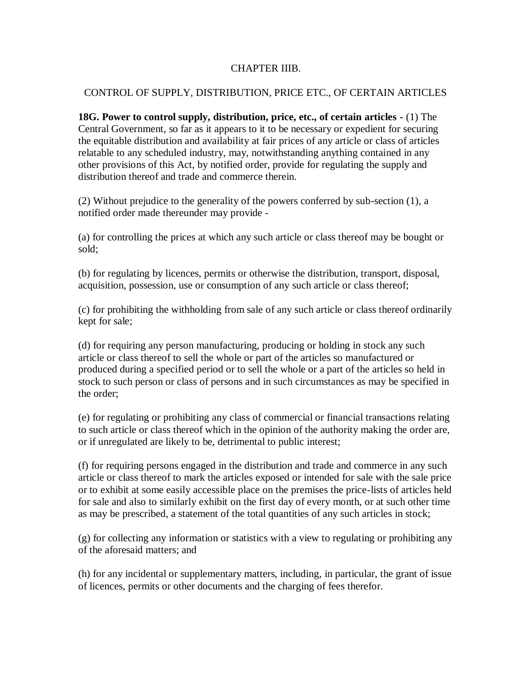#### CHAPTER IIIB.

#### CONTROL OF SUPPLY, DISTRIBUTION, PRICE ETC., OF CERTAIN ARTICLES

**18G. Power to control supply, distribution, price, etc., of certain articles -** (1) The Central Government, so far as it appears to it to be necessary or expedient for securing the equitable distribution and availability at fair prices of any article or class of articles relatable to any scheduled industry, may, notwithstanding anything contained in any other provisions of this Act, by notified order, provide for regulating the supply and distribution thereof and trade and commerce therein.

(2) Without prejudice to the generality of the powers conferred by sub-section (1), a notified order made thereunder may provide -

(a) for controlling the prices at which any such article or class thereof may be bought or sold;

(b) for regulating by licences, permits or otherwise the distribution, transport, disposal, acquisition, possession, use or consumption of any such article or class thereof;

(c) for prohibiting the withholding from sale of any such article or class thereof ordinarily kept for sale;

(d) for requiring any person manufacturing, producing or holding in stock any such article or class thereof to sell the whole or part of the articles so manufactured or produced during a specified period or to sell the whole or a part of the articles so held in stock to such person or class of persons and in such circumstances as may be specified in the order;

(e) for regulating or prohibiting any class of commercial or financial transactions relating to such article or class thereof which in the opinion of the authority making the order are, or if unregulated are likely to be, detrimental to public interest;

(f) for requiring persons engaged in the distribution and trade and commerce in any such article or class thereof to mark the articles exposed or intended for sale with the sale price or to exhibit at some easily accessible place on the premises the price-lists of articles held for sale and also to similarly exhibit on the first day of every month, or at such other time as may be prescribed, a statement of the total quantities of any such articles in stock;

(g) for collecting any information or statistics with a view to regulating or prohibiting any of the aforesaid matters; and

(h) for any incidental or supplementary matters, including, in particular, the grant of issue of licences, permits or other documents and the charging of fees therefor.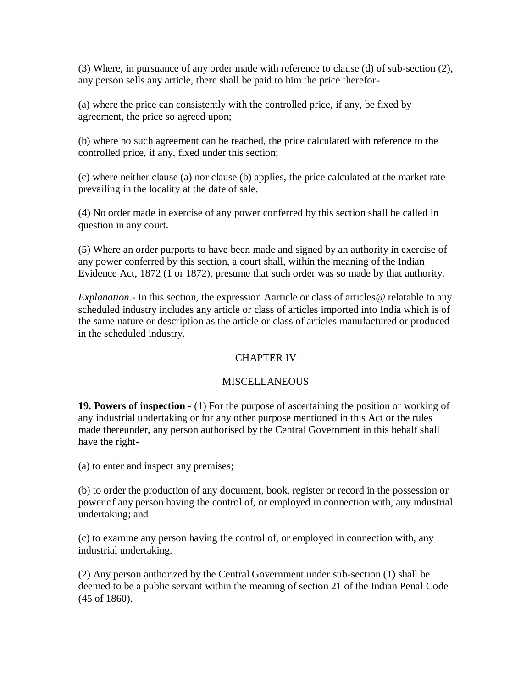(3) Where, in pursuance of any order made with reference to clause (d) of sub-section (2), any person sells any article, there shall be paid to him the price therefor-

(a) where the price can consistently with the controlled price, if any, be fixed by agreement, the price so agreed upon;

(b) where no such agreement can be reached, the price calculated with reference to the controlled price, if any, fixed under this section;

(c) where neither clause (a) nor clause (b) applies, the price calculated at the market rate prevailing in the locality at the date of sale.

(4) No order made in exercise of any power conferred by this section shall be called in question in any court.

(5) Where an order purports to have been made and signed by an authority in exercise of any power conferred by this section, a court shall, within the meaning of the Indian Evidence Act, 1872 (1 or 1872), presume that such order was so made by that authority.

*Explanation.*- In this section, the expression Aarticle or class of articles @ relatable to any scheduled industry includes any article or class of articles imported into India which is of the same nature or description as the article or class of articles manufactured or produced in the scheduled industry.

# CHAPTER IV

### **MISCELLANEOUS**

**19. Powers of inspection -** (1) For the purpose of ascertaining the position or working of any industrial undertaking or for any other purpose mentioned in this Act or the rules made thereunder, any person authorised by the Central Government in this behalf shall have the right-

(a) to enter and inspect any premises;

(b) to order the production of any document, book, register or record in the possession or power of any person having the control of, or employed in connection with, any industrial undertaking; and

(c) to examine any person having the control of, or employed in connection with, any industrial undertaking.

(2) Any person authorized by the Central Government under sub-section (1) shall be deemed to be a public servant within the meaning of section 21 of the Indian Penal Code (45 of 1860).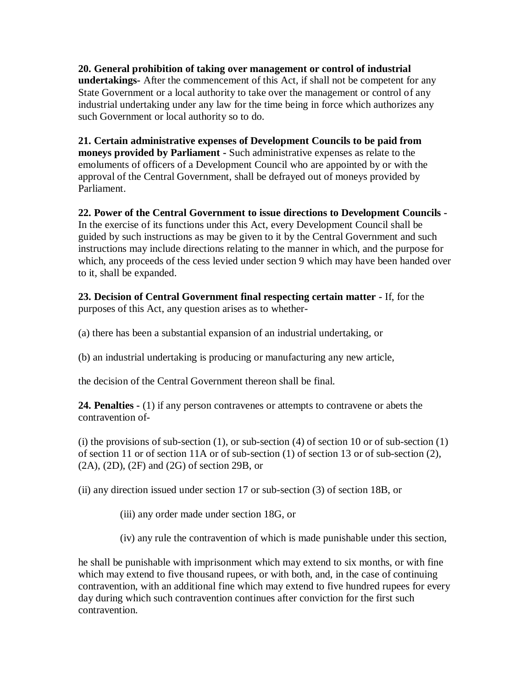**20. General prohibition of taking over management or control of industrial undertakings-** After the commencement of this Act, if shall not be competent for any State Government or a local authority to take over the management or control of any industrial undertaking under any law for the time being in force which authorizes any such Government or local authority so to do.

**21. Certain administrative expenses of Development Councils to be paid from moneys provided by Parliament -** Such administrative expenses as relate to the emoluments of officers of a Development Council who are appointed by or with the approval of the Central Government, shall be defrayed out of moneys provided by Parliament.

**22. Power of the Central Government to issue directions to Development Councils -** In the exercise of its functions under this Act, every Development Council shall be guided by such instructions as may be given to it by the Central Government and such instructions may include directions relating to the manner in which, and the purpose for which, any proceeds of the cess levied under section 9 which may have been handed over to it, shall be expanded.

**23. Decision of Central Government final respecting certain matter -** If, for the purposes of this Act, any question arises as to whether-

(a) there has been a substantial expansion of an industrial undertaking, or

(b) an industrial undertaking is producing or manufacturing any new article,

the decision of the Central Government thereon shall be final.

**24. Penalties -** (1) if any person contravenes or attempts to contravene or abets the contravention of-

(i) the provisions of sub-section  $(1)$ , or sub-section  $(4)$  of section 10 or of sub-section  $(1)$ of section 11 or of section 11A or of sub-section (1) of section 13 or of sub-section (2), (2A), (2D), (2F) and (2G) of section 29B, or

(ii) any direction issued under section 17 or sub-section (3) of section 18B, or

(iii) any order made under section 18G, or

(iv) any rule the contravention of which is made punishable under this section,

he shall be punishable with imprisonment which may extend to six months, or with fine which may extend to five thousand rupees, or with both, and, in the case of continuing contravention, with an additional fine which may extend to five hundred rupees for every day during which such contravention continues after conviction for the first such contravention.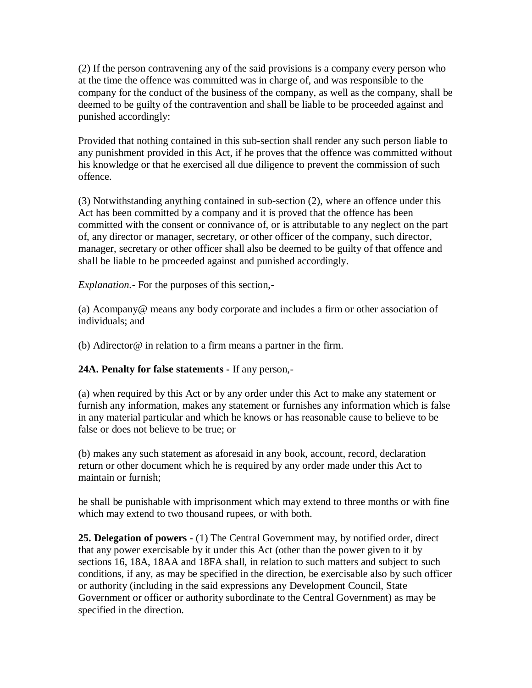(2) If the person contravening any of the said provisions is a company every person who at the time the offence was committed was in charge of, and was responsible to the company for the conduct of the business of the company, as well as the company, shall be deemed to be guilty of the contravention and shall be liable to be proceeded against and punished accordingly:

Provided that nothing contained in this sub-section shall render any such person liable to any punishment provided in this Act, if he proves that the offence was committed without his knowledge or that he exercised all due diligence to prevent the commission of such offence.

(3) Notwithstanding anything contained in sub-section (2), where an offence under this Act has been committed by a company and it is proved that the offence has been committed with the consent or connivance of, or is attributable to any neglect on the part of, any director or manager, secretary, or other officer of the company, such director, manager, secretary or other officer shall also be deemed to be guilty of that offence and shall be liable to be proceeded against and punished accordingly.

*Explanation.-* For the purposes of this section,-

(a) Acompany@ means any body corporate and includes a firm or other association of individuals; and

(b) Adirector@ in relation to a firm means a partner in the firm.

### **24A. Penalty for false statements -** If any person,-

(a) when required by this Act or by any order under this Act to make any statement or furnish any information, makes any statement or furnishes any information which is false in any material particular and which he knows or has reasonable cause to believe to be false or does not believe to be true; or

(b) makes any such statement as aforesaid in any book, account, record, declaration return or other document which he is required by any order made under this Act to maintain or furnish;

he shall be punishable with imprisonment which may extend to three months or with fine which may extend to two thousand rupees, or with both.

**25. Delegation of powers -** (1) The Central Government may, by notified order, direct that any power exercisable by it under this Act (other than the power given to it by sections 16, 18A, 18AA and 18FA shall, in relation to such matters and subject to such conditions, if any, as may be specified in the direction, be exercisable also by such officer or authority (including in the said expressions any Development Council, State Government or officer or authority subordinate to the Central Government) as may be specified in the direction.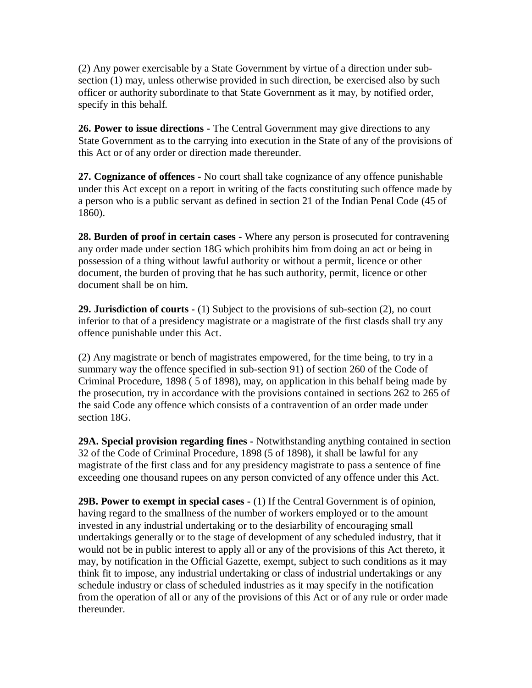(2) Any power exercisable by a State Government by virtue of a direction under subsection (1) may, unless otherwise provided in such direction, be exercised also by such officer or authority subordinate to that State Government as it may, by notified order, specify in this behalf.

**26. Power to issue directions -** The Central Government may give directions to any State Government as to the carrying into execution in the State of any of the provisions of this Act or of any order or direction made thereunder.

**27. Cognizance of offences -** No court shall take cognizance of any offence punishable under this Act except on a report in writing of the facts constituting such offence made by a person who is a public servant as defined in section 21 of the Indian Penal Code (45 of 1860).

**28. Burden of proof in certain cases -** Where any person is prosecuted for contravening any order made under section 18G which prohibits him from doing an act or being in possession of a thing without lawful authority or without a permit, licence or other document, the burden of proving that he has such authority, permit, licence or other document shall be on him.

**29. Jurisdiction of courts -** (1) Subject to the provisions of sub-section (2), no court inferior to that of a presidency magistrate or a magistrate of the first clasds shall try any offence punishable under this Act.

(2) Any magistrate or bench of magistrates empowered, for the time being, to try in a summary way the offence specified in sub-section 91) of section 260 of the Code of Criminal Procedure, 1898 ( 5 of 1898), may, on application in this behalf being made by the prosecution, try in accordance with the provisions contained in sections 262 to 265 of the said Code any offence which consists of a contravention of an order made under section 18G.

**29A. Special provision regarding fines -** Notwithstanding anything contained in section 32 of the Code of Criminal Procedure, 1898 (5 of 1898), it shall be lawful for any magistrate of the first class and for any presidency magistrate to pass a sentence of fine exceeding one thousand rupees on any person convicted of any offence under this Act.

**29B. Power to exempt in special cases -** (1) If the Central Government is of opinion, having regard to the smallness of the number of workers employed or to the amount invested in any industrial undertaking or to the desiarbility of encouraging small undertakings generally or to the stage of development of any scheduled industry, that it would not be in public interest to apply all or any of the provisions of this Act thereto, it may, by notification in the Official Gazette, exempt, subject to such conditions as it may think fit to impose, any industrial undertaking or class of industrial undertakings or any schedule industry or class of scheduled industries as it may specify in the notification from the operation of all or any of the provisions of this Act or of any rule or order made thereunder.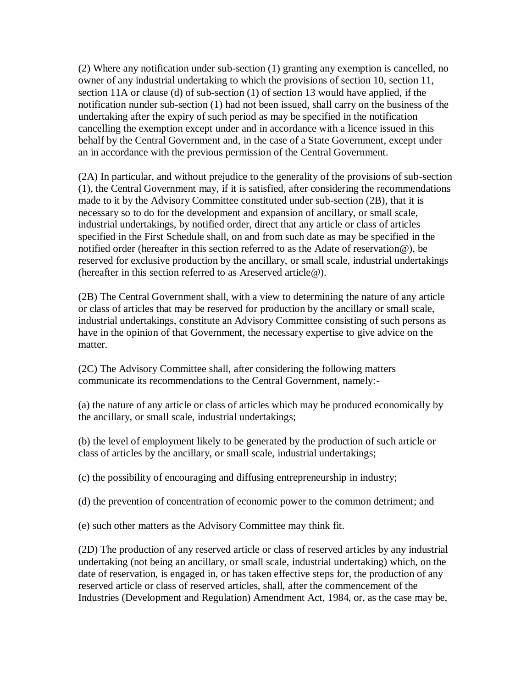(2) Where any notification under sub-section (1) granting any exemption is cancelled, no owner of any industrial undertaking to which the provisions of section 10, section 11, section 11A or clause (d) of sub-section (1) of section 13 would have applied, if the notification nunder sub-section (1) had not been issued, shall carry on the business of the undertaking after the expiry of such period as may be specified in the notification cancelling the exemption except under and in accordance with a licence issued in this behalf by the Central Government and, in the case of a State Government, except under an in accordance with the previous permission of the Central Government.

(2A) In particular, and without prejudice to the generality of the provisions of sub-section (1), the Central Government may, if it is satisfied, after considering the recommendations made to it by the Advisory Committee constituted under sub-section (2B), that it is necessary so to do for the development and expansion of ancillary, or small scale, industrial undertakings, by notified order, direct that any article or class of articles specified in the First Schedule shall, on and from such date as may be specified in the notified order (hereafter in this section referred to as the Adate of reservation@), be reserved for exclusive production by the ancillary, or small scale, industrial undertakings (hereafter in this section referred to as Areserved article@).

(2B) The Central Government shall, with a view to determining the nature of any article or class of articles that may be reserved for production by the ancillary or small scale, industrial undertakings, constitute an Advisory Committee consisting of such persons as have in the opinion of that Government, the necessary expertise to give advice on the matter.

(2C) The Advisory Committee shall, after considering the following matters communicate its recommendations to the Central Government, namely:-

(a) the nature of any article or class of articles which may be produced economically by the ancillary, or small scale, industrial undertakings;

(b) the level of employment likely to be generated by the production of such article or class of articles by the ancillary, or small scale, industrial undertakings;

(c) the possibility of encouraging and diffusing entrepreneurship in industry;

(d) the prevention of concentration of economic power to the common detriment; and

(e) such other matters as the Advisory Committee may think fit.

(2D) The production of any reserved article or class of reserved articles by any industrial undertaking (not being an ancillary, or small scale, industrial undertaking) which, on the date of reservation, is engaged in, or has taken effective steps for, the production of any reserved article or class of reserved articles, shall, after the commencement of the Industries (Development and Regulation) Amendment Act, 1984, or, as the case may be,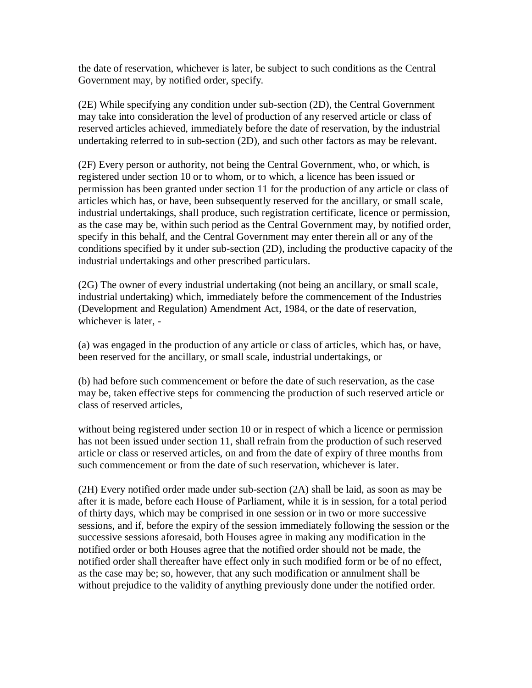the date of reservation, whichever is later, be subject to such conditions as the Central Government may, by notified order, specify.

(2E) While specifying any condition under sub-section (2D), the Central Government may take into consideration the level of production of any reserved article or class of reserved articles achieved, immediately before the date of reservation, by the industrial undertaking referred to in sub-section (2D), and such other factors as may be relevant.

(2F) Every person or authority, not being the Central Government, who, or which, is registered under section 10 or to whom, or to which, a licence has been issued or permission has been granted under section 11 for the production of any article or class of articles which has, or have, been subsequently reserved for the ancillary, or small scale, industrial undertakings, shall produce, such registration certificate, licence or permission, as the case may be, within such period as the Central Government may, by notified order, specify in this behalf, and the Central Government may enter therein all or any of the conditions specified by it under sub-section (2D), including the productive capacity of the industrial undertakings and other prescribed particulars.

(2G) The owner of every industrial undertaking (not being an ancillary, or small scale, industrial undertaking) which, immediately before the commencement of the Industries (Development and Regulation) Amendment Act, 1984, or the date of reservation, whichever is later, -

(a) was engaged in the production of any article or class of articles, which has, or have, been reserved for the ancillary, or small scale, industrial undertakings, or

(b) had before such commencement or before the date of such reservation, as the case may be, taken effective steps for commencing the production of such reserved article or class of reserved articles,

without being registered under section 10 or in respect of which a licence or permission has not been issued under section 11, shall refrain from the production of such reserved article or class or reserved articles, on and from the date of expiry of three months from such commencement or from the date of such reservation, whichever is later.

(2H) Every notified order made under sub-section (2A) shall be laid, as soon as may be after it is made, before each House of Parliament, while it is in session, for a total period of thirty days, which may be comprised in one session or in two or more successive sessions, and if, before the expiry of the session immediately following the session or the successive sessions aforesaid, both Houses agree in making any modification in the notified order or both Houses agree that the notified order should not be made, the notified order shall thereafter have effect only in such modified form or be of no effect, as the case may be; so, however, that any such modification or annulment shall be without prejudice to the validity of anything previously done under the notified order.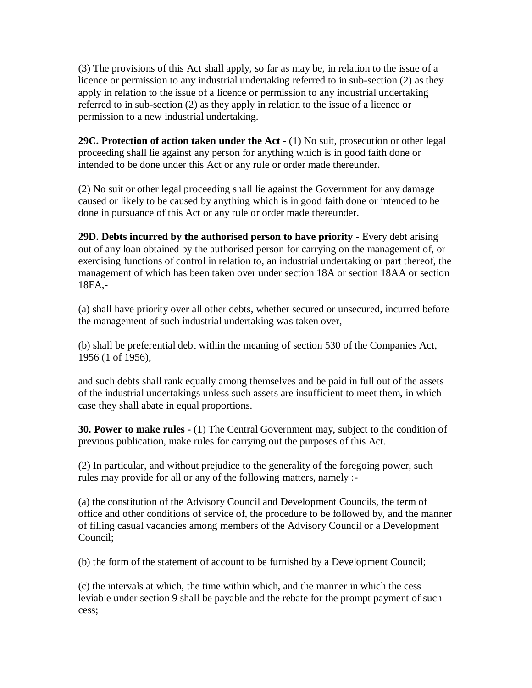(3) The provisions of this Act shall apply, so far as may be, in relation to the issue of a licence or permission to any industrial undertaking referred to in sub-section (2) as they apply in relation to the issue of a licence or permission to any industrial undertaking referred to in sub-section (2) as they apply in relation to the issue of a licence or permission to a new industrial undertaking.

**29C. Protection of action taken under the Act -** (1) No suit, prosecution or other legal proceeding shall lie against any person for anything which is in good faith done or intended to be done under this Act or any rule or order made thereunder.

(2) No suit or other legal proceeding shall lie against the Government for any damage caused or likely to be caused by anything which is in good faith done or intended to be done in pursuance of this Act or any rule or order made thereunder.

**29D. Debts incurred by the authorised person to have priority -** Every debt arising out of any loan obtained by the authorised person for carrying on the management of, or exercising functions of control in relation to, an industrial undertaking or part thereof, the management of which has been taken over under section 18A or section 18AA or section 18FA,-

(a) shall have priority over all other debts, whether secured or unsecured, incurred before the management of such industrial undertaking was taken over,

(b) shall be preferential debt within the meaning of section 530 of the Companies Act, 1956 (1 of 1956),

and such debts shall rank equally among themselves and be paid in full out of the assets of the industrial undertakings unless such assets are insufficient to meet them, in which case they shall abate in equal proportions.

**30. Power to make rules -** (1) The Central Government may, subject to the condition of previous publication, make rules for carrying out the purposes of this Act.

(2) In particular, and without prejudice to the generality of the foregoing power, such rules may provide for all or any of the following matters, namely :-

(a) the constitution of the Advisory Council and Development Councils, the term of office and other conditions of service of, the procedure to be followed by, and the manner of filling casual vacancies among members of the Advisory Council or a Development Council;

(b) the form of the statement of account to be furnished by a Development Council;

(c) the intervals at which, the time within which, and the manner in which the cess leviable under section 9 shall be payable and the rebate for the prompt payment of such cess;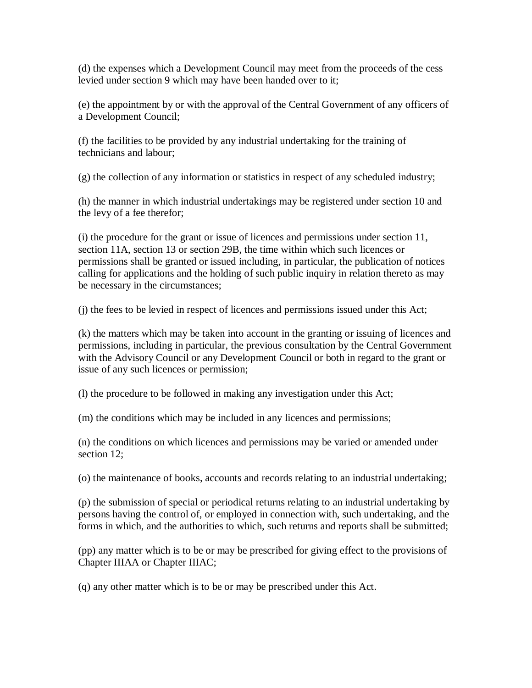(d) the expenses which a Development Council may meet from the proceeds of the cess levied under section 9 which may have been handed over to it;

(e) the appointment by or with the approval of the Central Government of any officers of a Development Council;

(f) the facilities to be provided by any industrial undertaking for the training of technicians and labour;

(g) the collection of any information or statistics in respect of any scheduled industry;

(h) the manner in which industrial undertakings may be registered under section 10 and the levy of a fee therefor;

(i) the procedure for the grant or issue of licences and permissions under section 11, section 11A, section 13 or section 29B, the time within which such licences or permissions shall be granted or issued including, in particular, the publication of notices calling for applications and the holding of such public inquiry in relation thereto as may be necessary in the circumstances;

(j) the fees to be levied in respect of licences and permissions issued under this Act;

(k) the matters which may be taken into account in the granting or issuing of licences and permissions, including in particular, the previous consultation by the Central Government with the Advisory Council or any Development Council or both in regard to the grant or issue of any such licences or permission;

(l) the procedure to be followed in making any investigation under this Act;

(m) the conditions which may be included in any licences and permissions;

(n) the conditions on which licences and permissions may be varied or amended under section 12;

(o) the maintenance of books, accounts and records relating to an industrial undertaking;

(p) the submission of special or periodical returns relating to an industrial undertaking by persons having the control of, or employed in connection with, such undertaking, and the forms in which, and the authorities to which, such returns and reports shall be submitted;

(pp) any matter which is to be or may be prescribed for giving effect to the provisions of Chapter IIIAA or Chapter IIIAC;

(q) any other matter which is to be or may be prescribed under this Act.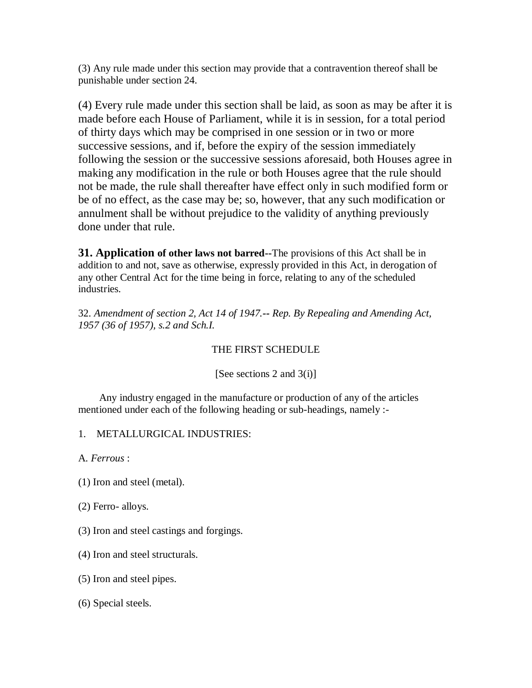(3) Any rule made under this section may provide that a contravention thereof shall be punishable under section 24.

(4) Every rule made under this section shall be laid, as soon as may be after it is made before each House of Parliament, while it is in session, for a total period of thirty days which may be comprised in one session or in two or more successive sessions, and if, before the expiry of the session immediately following the session or the successive sessions aforesaid, both Houses agree in making any modification in the rule or both Houses agree that the rule should not be made, the rule shall thereafter have effect only in such modified form or be of no effect, as the case may be; so, however, that any such modification or annulment shall be without prejudice to the validity of anything previously done under that rule.

**31. Application of other laws not barred--**The provisions of this Act shall be in addition to and not, save as otherwise, expressly provided in this Act, in derogation of any other Central Act for the time being in force, relating to any of the scheduled industries.

32. *Amendment of section 2, Act 14 of 1947.-- Rep. By Repealing and Amending Act, 1957 (36 of 1957), s.2 and Sch.I.*

### THE FIRST SCHEDULE

### [See sections 2 and 3(i)]

 Any industry engaged in the manufacture or production of any of the articles mentioned under each of the following heading or sub-headings, namely :-

1. METALLURGICAL INDUSTRIES:

A. *Ferrous* :

(1) Iron and steel (metal).

(2) Ferro- alloys.

- (3) Iron and steel castings and forgings.
- (4) Iron and steel structurals.
- (5) Iron and steel pipes.
- (6) Special steels.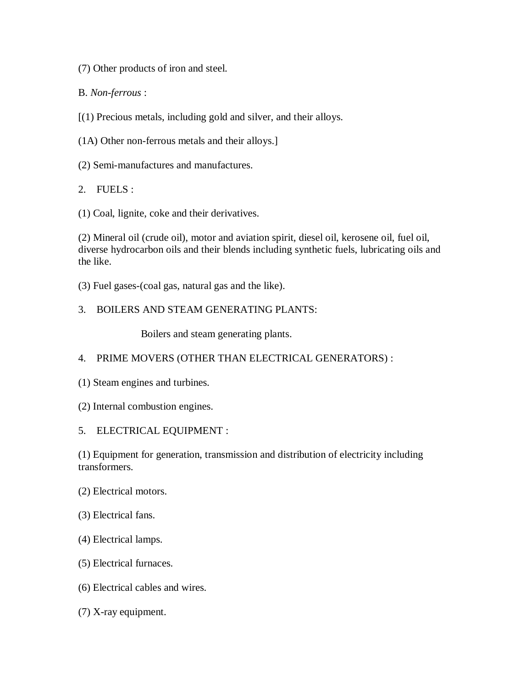(7) Other products of iron and steel.

B. *Non-ferrous* :

[(1) Precious metals, including gold and silver, and their alloys.

(1A) Other non-ferrous metals and their alloys.]

(2) Semi-manufactures and manufactures.

2. FUELS :

(1) Coal, lignite, coke and their derivatives.

(2) Mineral oil (crude oil), motor and aviation spirit, diesel oil, kerosene oil, fuel oil, diverse hydrocarbon oils and their blends including synthetic fuels, lubricating oils and the like.

(3) Fuel gases-(coal gas, natural gas and the like).

## 3. BOILERS AND STEAM GENERATING PLANTS:

Boilers and steam generating plants.

### 4. PRIME MOVERS (OTHER THAN ELECTRICAL GENERATORS) :

- (1) Steam engines and turbines.
- (2) Internal combustion engines.
- 5. ELECTRICAL EQUIPMENT :

(1) Equipment for generation, transmission and distribution of electricity including transformers.

- (2) Electrical motors.
- (3) Electrical fans.
- (4) Electrical lamps.
- (5) Electrical furnaces.
- (6) Electrical cables and wires.
- (7) X-ray equipment.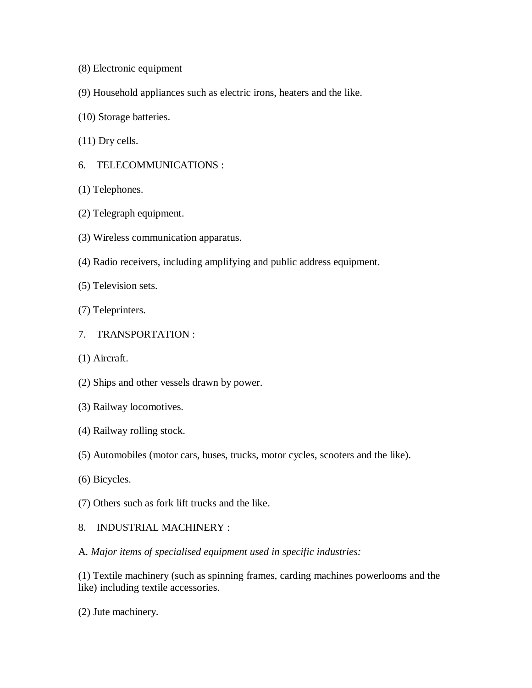- (8) Electronic equipment
- (9) Household appliances such as electric irons, heaters and the like.
- (10) Storage batteries.
- (11) Dry cells.
- 6. TELECOMMUNICATIONS :
- (1) Telephones.
- (2) Telegraph equipment.
- (3) Wireless communication apparatus.
- (4) Radio receivers, including amplifying and public address equipment.
- (5) Television sets.
- (7) Teleprinters.
- 7. TRANSPORTATION :
- (1) Aircraft.
- (2) Ships and other vessels drawn by power.
- (3) Railway locomotives.
- (4) Railway rolling stock.
- (5) Automobiles (motor cars, buses, trucks, motor cycles, scooters and the like).
- (6) Bicycles.
- (7) Others such as fork lift trucks and the like.
- 8. INDUSTRIAL MACHINERY :
- A. *Major items of specialised equipment used in specific industries:*

(1) Textile machinery (such as spinning frames, carding machines powerlooms and the like) including textile accessories.

(2) Jute machinery.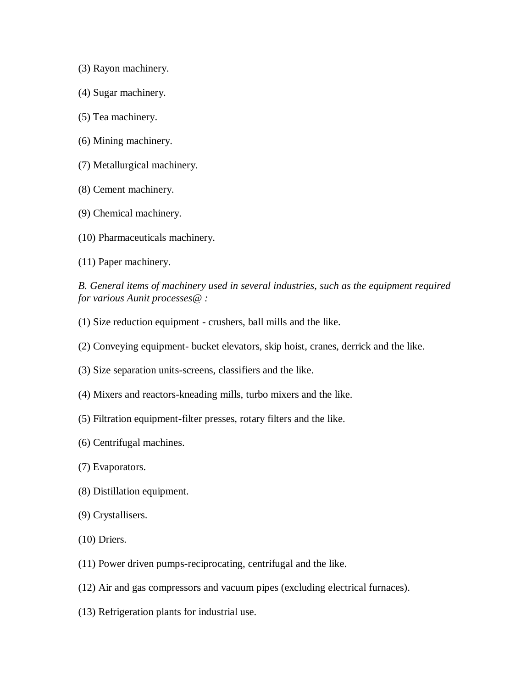- (3) Rayon machinery.
- (4) Sugar machinery.
- (5) Tea machinery.
- (6) Mining machinery.
- (7) Metallurgical machinery.
- (8) Cement machinery.
- (9) Chemical machinery.
- (10) Pharmaceuticals machinery.
- (11) Paper machinery.

*B. General items of machinery used in several industries, such as the equipment required for various Aunit processes@ :*

- (1) Size reduction equipment crushers, ball mills and the like.
- (2) Conveying equipment- bucket elevators, skip hoist, cranes, derrick and the like.
- (3) Size separation units-screens, classifiers and the like.
- (4) Mixers and reactors-kneading mills, turbo mixers and the like.
- (5) Filtration equipment-filter presses, rotary filters and the like.
- (6) Centrifugal machines.
- (7) Evaporators.
- (8) Distillation equipment.
- (9) Crystallisers.
- (10) Driers.
- (11) Power driven pumps-reciprocating, centrifugal and the like.
- (12) Air and gas compressors and vacuum pipes (excluding electrical furnaces).
- (13) Refrigeration plants for industrial use.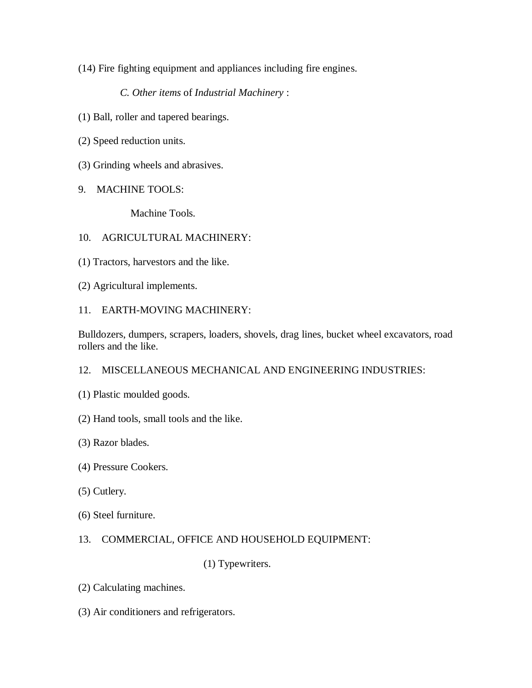(14) Fire fighting equipment and appliances including fire engines.

 *C. Other items* of *Industrial Machinery* :

- (1) Ball, roller and tapered bearings.
- (2) Speed reduction units.
- (3) Grinding wheels and abrasives.
- 9. MACHINE TOOLS:

Machine Tools.

#### 10. AGRICULTURAL MACHINERY:

- (1) Tractors, harvestors and the like.
- (2) Agricultural implements.
- 11. EARTH-MOVING MACHINERY:

Bulldozers, dumpers, scrapers, loaders, shovels, drag lines, bucket wheel excavators, road rollers and the like.

#### 12. MISCELLANEOUS MECHANICAL AND ENGINEERING INDUSTRIES:

- (1) Plastic moulded goods.
- (2) Hand tools, small tools and the like.
- (3) Razor blades.
- (4) Pressure Cookers.
- (5) Cutlery.
- (6) Steel furniture.

#### 13. COMMERCIAL, OFFICE AND HOUSEHOLD EQUIPMENT:

(1) Typewriters.

- (2) Calculating machines.
- (3) Air conditioners and refrigerators.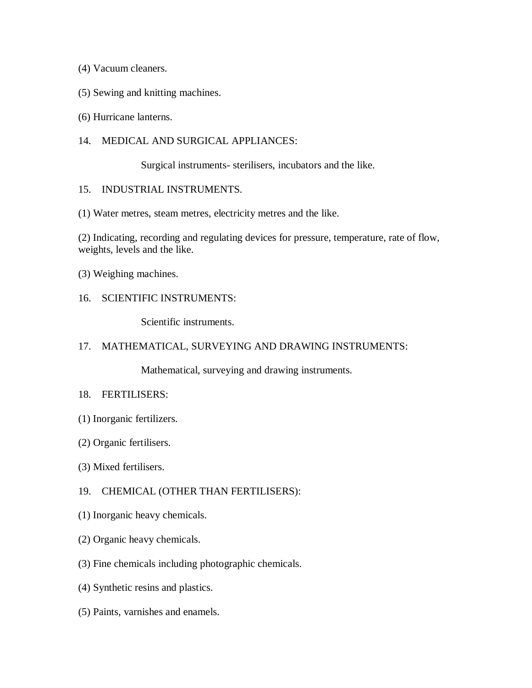- (4) Vacuum cleaners.
- (5) Sewing and knitting machines.
- (6) Hurricane lanterns.
- 14. MEDICAL AND SURGICAL APPLIANCES:

Surgical instruments- sterilisers, incubators and the like.

#### 15. INDUSTRIAL INSTRUMENTS.

(1) Water metres, steam metres, electricity metres and the like.

(2) Indicating, recording and regulating devices for pressure, temperature, rate of flow, weights, levels and the like.

- (3) Weighing machines.
- 16. SCIENTIFIC INSTRUMENTS:

Scientific instruments.

#### 17. MATHEMATICAL, SURVEYING AND DRAWING INSTRUMENTS:

Mathematical, surveying and drawing instruments.

#### 18. FERTILISERS:

- (1) Inorganic fertilizers.
- (2) Organic fertilisers.
- (3) Mixed fertilisers.

#### 19. CHEMICAL (OTHER THAN FERTILISERS):

- (1) Inorganic heavy chemicals.
- (2) Organic heavy chemicals.
- (3) Fine chemicals including photographic chemicals.
- (4) Synthetic resins and plastics.
- (5) Paints, varnishes and enamels.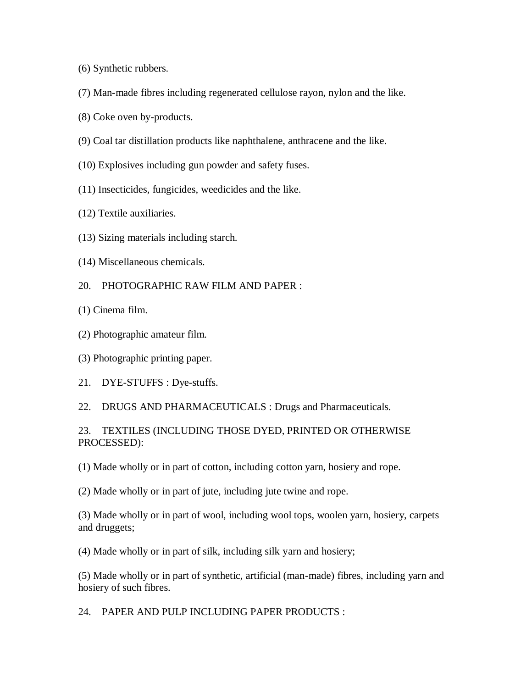- (6) Synthetic rubbers.
- (7) Man-made fibres including regenerated cellulose rayon, nylon and the like.
- (8) Coke oven by-products.
- (9) Coal tar distillation products like naphthalene, anthracene and the like.
- (10) Explosives including gun powder and safety fuses.
- (11) Insecticides, fungicides, weedicides and the like.
- (12) Textile auxiliaries.
- (13) Sizing materials including starch.
- (14) Miscellaneous chemicals.
- 20. PHOTOGRAPHIC RAW FILM AND PAPER :
- (1) Cinema film.
- (2) Photographic amateur film.
- (3) Photographic printing paper.
- 21. DYE-STUFFS : Dye-stuffs.
- 22. DRUGS AND PHARMACEUTICALS : Drugs and Pharmaceuticals.

### 23. TEXTILES (INCLUDING THOSE DYED, PRINTED OR OTHERWISE PROCESSED):

(1) Made wholly or in part of cotton, including cotton yarn, hosiery and rope.

(2) Made wholly or in part of jute, including jute twine and rope.

(3) Made wholly or in part of wool, including wool tops, woolen yarn, hosiery, carpets and druggets;

(4) Made wholly or in part of silk, including silk yarn and hosiery;

(5) Made wholly or in part of synthetic, artificial (man-made) fibres, including yarn and hosiery of such fibres.

24. PAPER AND PULP INCLUDING PAPER PRODUCTS :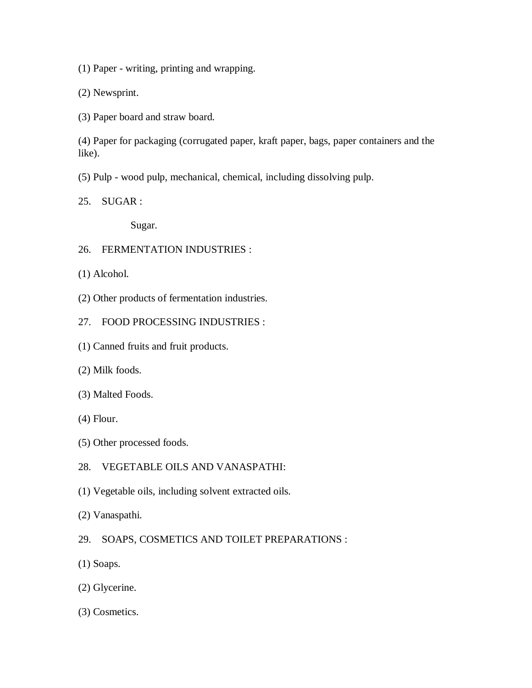(1) Paper - writing, printing and wrapping.

(2) Newsprint.

(3) Paper board and straw board.

(4) Paper for packaging (corrugated paper, kraft paper, bags, paper containers and the like).

(5) Pulp - wood pulp, mechanical, chemical, including dissolving pulp.

25. SUGAR :

Sugar.

- 26. FERMENTATION INDUSTRIES :
- (1) Alcohol.
- (2) Other products of fermentation industries.
- 27. FOOD PROCESSING INDUSTRIES :
- (1) Canned fruits and fruit products.
- (2) Milk foods.
- (3) Malted Foods.
- (4) Flour.
- (5) Other processed foods.
- 28. VEGETABLE OILS AND VANASPATHI:
- (1) Vegetable oils, including solvent extracted oils.
- (2) Vanaspathi.
- 29. SOAPS, COSMETICS AND TOILET PREPARATIONS :
- (1) Soaps.
- (2) Glycerine.
- (3) Cosmetics.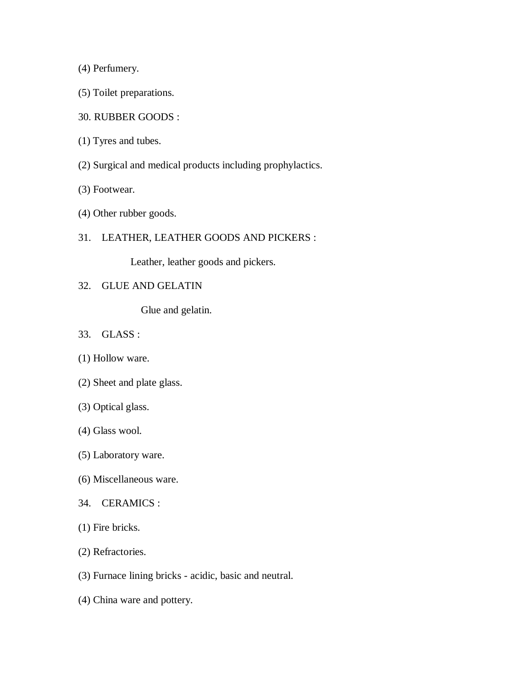(4) Perfumery.

- (5) Toilet preparations.
- 30. RUBBER GOODS :
- (1) Tyres and tubes.
- (2) Surgical and medical products including prophylactics.
- (3) Footwear.
- (4) Other rubber goods.
- 31. LEATHER, LEATHER GOODS AND PICKERS :

Leather, leather goods and pickers.

32. GLUE AND GELATIN

Glue and gelatin.

- 33. GLASS :
- (1) Hollow ware.
- (2) Sheet and plate glass.
- (3) Optical glass.
- (4) Glass wool.
- (5) Laboratory ware.
- (6) Miscellaneous ware.
- 34. CERAMICS :
- (1) Fire bricks.
- (2) Refractories.
- (3) Furnace lining bricks acidic, basic and neutral.
- (4) China ware and pottery.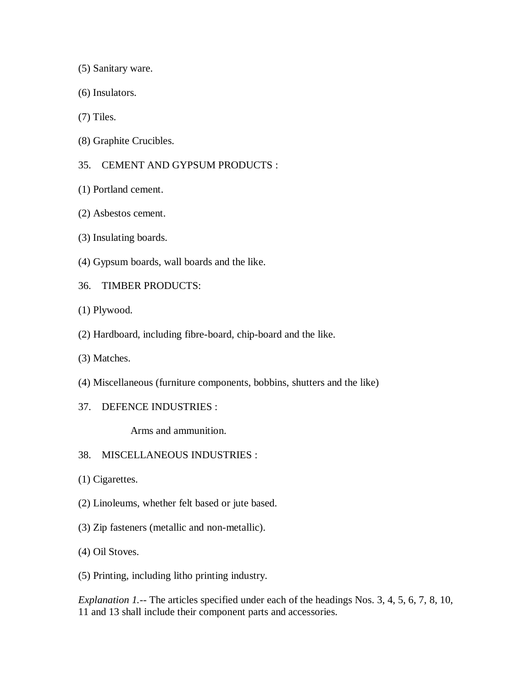(5) Sanitary ware.

- (6) Insulators.
- (7) Tiles.
- (8) Graphite Crucibles.
- 35. CEMENT AND GYPSUM PRODUCTS :
- (1) Portland cement.
- (2) Asbestos cement.
- (3) Insulating boards.
- (4) Gypsum boards, wall boards and the like.
- 36. TIMBER PRODUCTS:
- (1) Plywood.
- (2) Hardboard, including fibre-board, chip-board and the like.
- (3) Matches.
- (4) Miscellaneous (furniture components, bobbins, shutters and the like)
- 37. DEFENCE INDUSTRIES :

Arms and ammunition.

- 38. MISCELLANEOUS INDUSTRIES :
- (1) Cigarettes.
- (2) Linoleums, whether felt based or jute based.
- (3) Zip fasteners (metallic and non-metallic).
- (4) Oil Stoves.
- (5) Printing, including litho printing industry.

*Explanation 1.--* The articles specified under each of the headings Nos. 3, 4, 5, 6, 7, 8, 10, 11 and 13 shall include their component parts and accessories.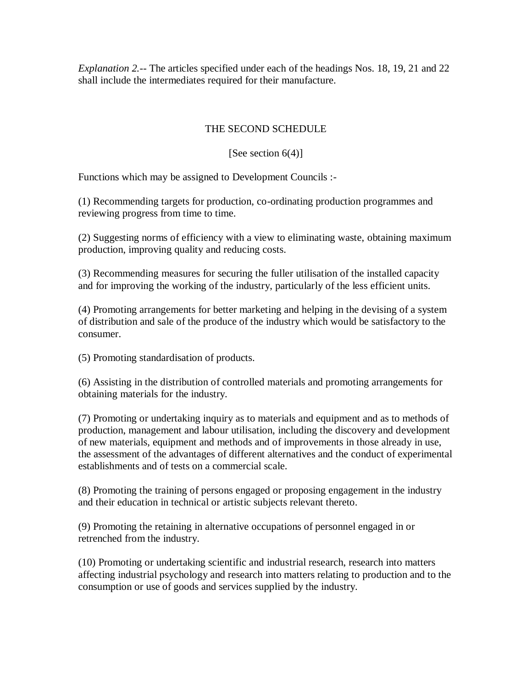*Explanation 2.--* The articles specified under each of the headings Nos. 18, 19, 21 and 22 shall include the intermediates required for their manufacture.

## THE SECOND SCHEDULE

### [See section  $6(4)$ ]

Functions which may be assigned to Development Councils :-

(1) Recommending targets for production, co-ordinating production programmes and reviewing progress from time to time.

(2) Suggesting norms of efficiency with a view to eliminating waste, obtaining maximum production, improving quality and reducing costs.

(3) Recommending measures for securing the fuller utilisation of the installed capacity and for improving the working of the industry, particularly of the less efficient units.

(4) Promoting arrangements for better marketing and helping in the devising of a system of distribution and sale of the produce of the industry which would be satisfactory to the consumer.

(5) Promoting standardisation of products.

(6) Assisting in the distribution of controlled materials and promoting arrangements for obtaining materials for the industry.

(7) Promoting or undertaking inquiry as to materials and equipment and as to methods of production, management and labour utilisation, including the discovery and development of new materials, equipment and methods and of improvements in those already in use, the assessment of the advantages of different alternatives and the conduct of experimental establishments and of tests on a commercial scale.

(8) Promoting the training of persons engaged or proposing engagement in the industry and their education in technical or artistic subjects relevant thereto.

(9) Promoting the retaining in alternative occupations of personnel engaged in or retrenched from the industry.

(10) Promoting or undertaking scientific and industrial research, research into matters affecting industrial psychology and research into matters relating to production and to the consumption or use of goods and services supplied by the industry.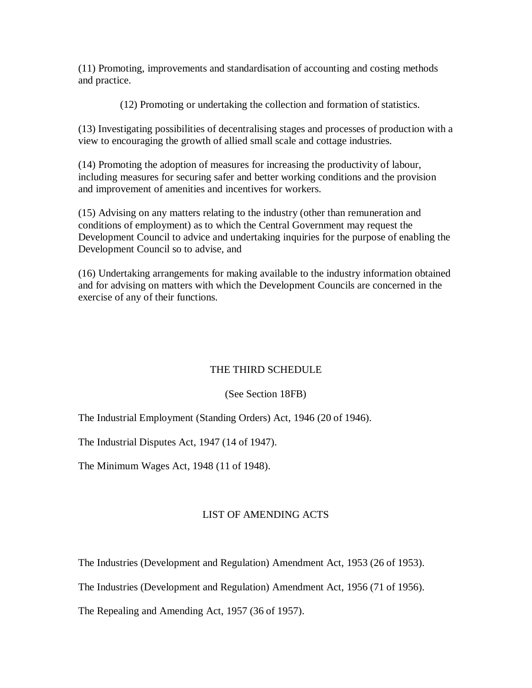(11) Promoting, improvements and standardisation of accounting and costing methods and practice.

(12) Promoting or undertaking the collection and formation of statistics.

(13) Investigating possibilities of decentralising stages and processes of production with a view to encouraging the growth of allied small scale and cottage industries.

(14) Promoting the adoption of measures for increasing the productivity of labour, including measures for securing safer and better working conditions and the provision and improvement of amenities and incentives for workers.

(15) Advising on any matters relating to the industry (other than remuneration and conditions of employment) as to which the Central Government may request the Development Council to advice and undertaking inquiries for the purpose of enabling the Development Council so to advise, and

(16) Undertaking arrangements for making available to the industry information obtained and for advising on matters with which the Development Councils are concerned in the exercise of any of their functions.

### THE THIRD SCHEDULE

### (See Section 18FB)

The Industrial Employment (Standing Orders) Act, 1946 (20 of 1946).

The Industrial Disputes Act, 1947 (14 of 1947).

The Minimum Wages Act, 1948 (11 of 1948).

### LIST OF AMENDING ACTS

The Industries (Development and Regulation) Amendment Act, 1953 (26 of 1953).

The Industries (Development and Regulation) Amendment Act, 1956 (71 of 1956).

The Repealing and Amending Act, 1957 (36 of 1957).